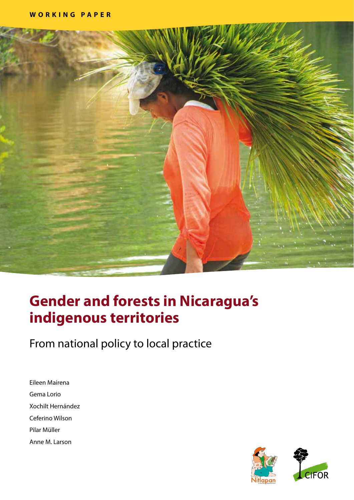

# **Gender and forests in Nicaragua's indigenous territories**

From national policy to local practice

Eileen Mairena Gema Lorio Xochilt Hernández Ceferino Wilson Pilar Müller Anne M. Larson

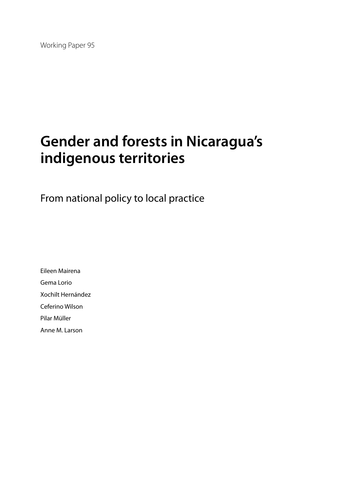Working Paper 95

# **Gender and forests in Nicaragua's indigenous territories**

From national policy to local practice

Eileen Mairena Gema Lorio Xochilt Hernández Ceferino Wilson Pilar Müller Anne M. Larson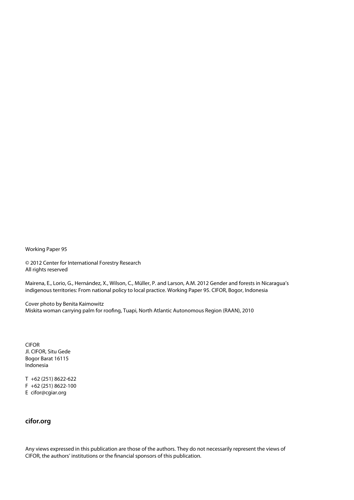Working Paper 95

© 2012 Center for International Forestry Research All rights reserved

Mairena, E., Lorio, G., Hernández, X., Wilson, C., Müller, P. and Larson, A.M. 2012 Gender and forests in Nicaragua's indigenous territories: From national policy to local practice. Working Paper 95. CIFOR, Bogor, Indonesia

Cover photo by Benita Kaimowitz Miskita woman carrying palm for roofing, Tuapi, North Atlantic Autonomous Region (RAAN), 2010

CIFOR Jl. CIFOR, Situ Gede Bogor Barat 16115 Indonesia

T +62 (251) 8622-622 F +62 (251) 8622-100 E cifor@cgiar.org

### **cifor.org**

Any views expressed in this publication are those of the authors. They do not necessarily represent the views of CIFOR, the authors' institutions or the financial sponsors of this publication.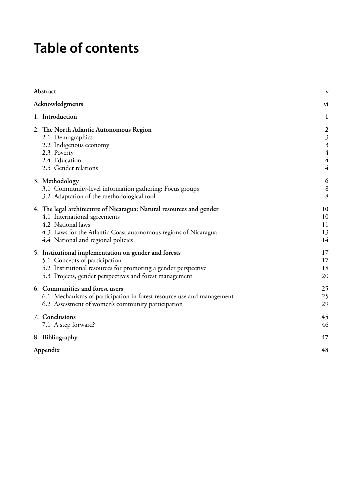# **Table of contents**

| Abstract                                                                                                                                                                                                                           | V                          |
|------------------------------------------------------------------------------------------------------------------------------------------------------------------------------------------------------------------------------------|----------------------------|
| Acknowledgments                                                                                                                                                                                                                    | V1                         |
| 1. Introduction                                                                                                                                                                                                                    | $\mathbf{1}$               |
| 2. The North Atlantic Autonomous Region<br>2.1 Demographics<br>2.2 Indigenous economy<br>2.3 Poverty<br>2.4 Education<br>2.5 Gender relations                                                                                      | 233444                     |
| 3. Methodology<br>3.1 Community-level information gathering: Focus groups<br>3.2 Adaptation of the methodological tool                                                                                                             | 6<br>8<br>8                |
| 4. The legal architecture of Nicaragua: Natural resources and gender<br>4.1 International agreements<br>4.2 National laws<br>4.3 Laws for the Atlantic Coast autonomous regions of Nicaragua<br>4.4 National and regional policies | 10<br>10<br>11<br>13<br>14 |
| 5. Institutional implementation on gender and forests<br>5.1 Concepts of participation<br>5.2 Institutional resources for promoting a gender perspective<br>5.3 Projects, gender perspectives and forest management                | 17<br>17<br>18<br>20       |
| 6. Communities and forest users<br>6.1 Mechanisms of participation in forest resource use and management<br>6.2 Assessment of women's community participation                                                                      | 25<br>25<br>29             |
| 7. Conclusions<br>7.1 A step forward?                                                                                                                                                                                              | 45<br>46                   |
| 8. Bibliography                                                                                                                                                                                                                    | 47                         |
| Appendix                                                                                                                                                                                                                           | 48                         |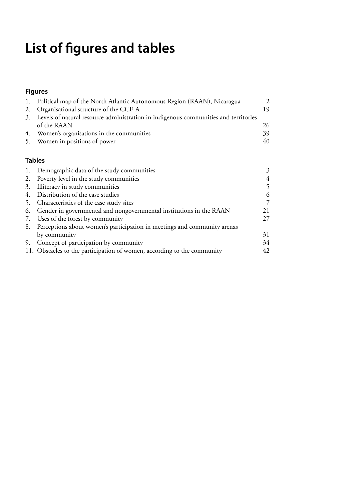# **List of figures and tables**

# **Figures**

| 1.            | Political map of the North Atlantic Autonomous Region (RAAN), Nicaragua             | $\mathfrak{D}$ |
|---------------|-------------------------------------------------------------------------------------|----------------|
| 2.            | Organisational structure of the CCF-A                                               | 19             |
| 3.            | Levels of natural resource administration in indigenous communities and territories |                |
|               | of the RAAN                                                                         | 26             |
|               | 4. Women's organisations in the communities                                         | 39             |
| 5.            | Women in positions of power                                                         | 40             |
| <b>Tables</b> |                                                                                     |                |
| 1.            | Demographic data of the study communities                                           | 3              |
| 2.            | Poverty level in the study communities                                              | $\overline{4}$ |
| 3.            | Illiteracy in study communities                                                     | 5              |
|               | 4. Distribution of the case studies                                                 | 6              |
| 5.            | Characteristics of the case study sites                                             | 7              |
| 6.            | Gender in governmental and nongovernmental institutions in the RAAN                 | 21             |
|               | 7. Uses of the forest by community                                                  | 27             |
| 8.            | Perceptions about women's participation in meetings and community arenas            |                |
|               | by community                                                                        | 31             |
| 9.            | Concept of participation by community                                               | 34             |
|               | 11. Obstacles to the participation of women, according to the community             | 42             |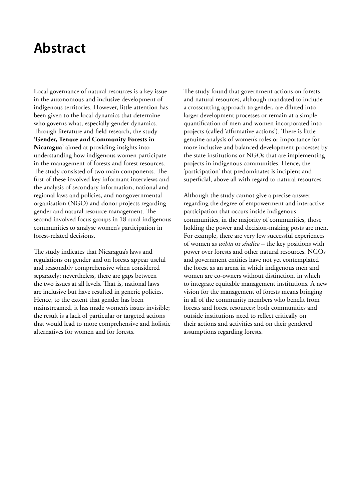# <span id="page-6-0"></span>**Abstract**

Local governance of natural resources is a key issue in the autonomous and inclusive development of indigenous territories. However, little attention has been given to the local dynamics that determine who governs what, especially gender dynamics. Through literature and field research, the study **'Gender, Tenure and Community Forests in Nicaragua**' aimed at providing insights into understanding how indigenous women participate in the management of forests and forest resources. The study consisted of two main components. The first of these involved key informant interviews and the analysis of secondary information, national and regional laws and policies, and nongovernmental organisation (NGO) and donor projects regarding gender and natural resource management. The second involved focus groups in 18 rural indigenous communities to analyse women's participation in forest-related decisions.

The study indicates that Nicaragua's laws and regulations on gender and on forests appear useful and reasonably comprehensive when considered separately; nevertheless, there are gaps between the two issues at all levels. That is, national laws are inclusive but have resulted in generic policies. Hence, to the extent that gender has been mainstreamed, it has made women's issues invisible; the result is a lack of particular or targeted actions that would lead to more comprehensive and holistic alternatives for women and for forests.

The study found that government actions on forests and natural resources, although mandated to include a crosscutting approach to gender, are diluted into larger development processes or remain at a simple quantification of men and women incorporated into projects (called 'affirmative actions'). There is little genuine analysis of women's roles or importance for more inclusive and balanced development processes by the state institutions or NGOs that are implementing projects in indigenous communities. Hence, the 'participation' that predominates is incipient and superficial, above all with regard to natural resources.

Although the study cannot give a precise answer regarding the degree of empowerment and interactive participation that occurs inside indigenous communities, in the majority of communities, those holding the power and decision-making posts are men. For example, there are very few successful experiences of women as *wihta* or *síndico* – the key positions with power over forests and other natural resources. NGOs and government entities have not yet contemplated the forest as an arena in which indigenous men and women are co-owners without distinction, in which to integrate equitable management institutions. A new vision for the management of forests means bringing in all of the community members who benefit from forests and forest resources; both communities and outside institutions need to reflect critically on their actions and activities and on their gendered assumptions regarding forests.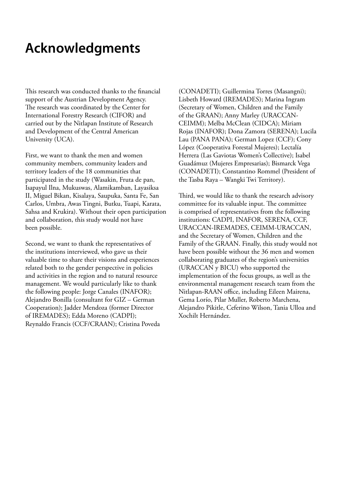# <span id="page-7-0"></span>**Acknowledgments**

This research was conducted thanks to the financial support of the Austrian Development Agency. The research was coordinated by the Center for International Forestry Research (CIFOR) and carried out by the Nitlapan Institute of Research and Development of the Central American University (UCA).

First, we want to thank the men and women community members, community leaders and territory leaders of the 18 communities that participated in the study (Wasakin, Fruta de pan, Isapayul Ilna, Mukuswas, Alamikamban, Layasiksa II, Miguel Bikan, Kisalaya, Saupuka, Santa Fe, San Carlos, Umbra, Awas Tingni, Butku, Tuapi, Karata, Sahsa and Krukira). Without their open participation and collaboration, this study would not have been possible.

Second, we want to thank the representatives of the institutions interviewed, who gave us their valuable time to share their visions and experiences related both to the gender perspective in policies and activities in the region and to natural resource management. We would particularly like to thank the following people: Jorge Canales (INAFOR); Alejandro Bonilla (consultant for GIZ – German Cooperation); Jadder Mendoza (former Director of IREMADES); Edda Moreno (CADPI); Reynaldo Francis (CCF/CRAAN); Cristina Poveda

(CONADETI); Guillermina Torres (Masangni); Lisbeth Howard (IREMADES); Marina Ingram (Secretary of Women, Children and the Family of the GRAAN); Anny Marley (URACCAN-CEIMM); Melba McClean (CIDCA); Miriam Rojas (INAFOR); Dona Zamora (SERENA); Lucila Lau (PANA PANA); German Lopez (CCF); Cony López (Cooperativa Forestal Mujeres); Lectalía Herrera (Las Gaviotas Women's Collective); Isabel Guadámuz (Mujeres Empresarias); Bismarck Vega (CONADETI); Constantino Rommel (President of the Tasba Raya – Wangki Twi Territory).

Third, we would like to thank the research advisory committee for its valuable input. The committee is comprised of representatives from the following institutions: CADPI, INAFOR, SERENA, CCF, URACCAN-IREMADES, CEIMM-URACCAN, and the Secretary of Women, Children and the Family of the GRAAN. Finally, this study would not have been possible without the 36 men and women collaborating graduates of the region's universities (URACCAN y BICU) who supported the implementation of the focus groups, as well as the environmental management research team from the Nitlapan-RAAN office, including Eileen Mairena, Gema Lorío, Pilar Muller, Roberto Marchena, Alejandro Pikitle, Ceferino Wilson, Tania Ulloa and Xochilt Hernández.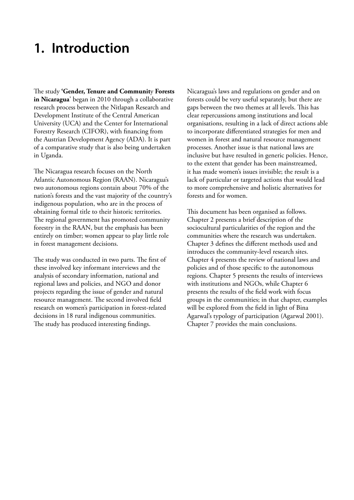# <span id="page-8-0"></span>**1. Introduction**

The study **'Gender, Tenure and Communit**y **Forests in Nicaragua**' began in 2010 through a collaborative research process between the Nitlapan Research and Development Institute of the Central American University (UCA) and the Center for International Forestry Research (CIFOR), with financing from the Austrian Development Agency (ADA). It is part of a comparative study that is also being undertaken in Uganda.

The Nicaragua research focuses on the North Atlantic Autonomous Region (RAAN). Nicaragua's two autonomous regions contain about 70% of the nation's forests and the vast majority of the country's indigenous population, who are in the process of obtaining formal title to their historic territories. The regional government has promoted community forestry in the RAAN, but the emphasis has been entirely on timber; women appear to play little role in forest management decisions.

The study was conducted in two parts. The first of these involved key informant interviews and the analysis of secondary information, national and regional laws and policies, and NGO and donor projects regarding the issue of gender and natural resource management. The second involved field research on women's participation in forest-related decisions in 18 rural indigenous communities. The study has produced interesting findings.

Nicaragua's laws and regulations on gender and on forests could be very useful separately, but there are gaps between the two themes at all levels. This has clear repercussions among institutions and local organisations, resulting in a lack of direct actions able to incorporate differentiated strategies for men and women in forest and natural resource management processes. Another issue is that national laws are inclusive but have resulted in generic policies. Hence, to the extent that gender has been mainstreamed, it has made women's issues invisible; the result is a lack of particular or targeted actions that would lead to more comprehensive and holistic alternatives for forests and for women.

This document has been organised as follows. Chapter 2 presents a brief description of the sociocultural particularities of the region and the communities where the research was undertaken. Chapter 3 defines the different methods used and introduces the community-level research sites. Chapter 4 presents the review of national laws and policies and of those specific to the autonomous regions. Chapter 5 presents the results of interviews with institutions and NGOs, while Chapter 6 presents the results of the field work with focus groups in the communities; in that chapter, examples will be explored from the field in light of Bina Agarwal's typology of participation (Agarwal 2001). Chapter 7 provides the main conclusions.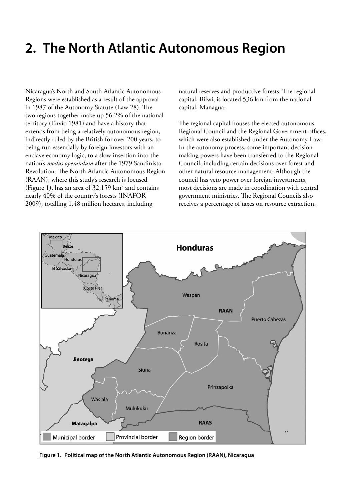# <span id="page-9-0"></span>**2. The North Atlantic Autonomous Region**

Nicaragua's North and South Atlantic Autonomous Regions were established as a result of the approval in 1987 of the Autonomy Statute (Law 28). The two regions together make up 56.2% of the national territory (Envío 1981) and have a history that extends from being a relatively autonomous region, indirectly ruled by the British for over 200 years, to being run essentially by foreign investors with an enclave economy logic, to a slow insertion into the nation's *modus operandum* after the 1979 Sandinista Revolution. The North Atlantic Autonomous Region (RAAN), where this study's research is focused (Figure 1), has an area of  $32,159$  km<sup>2</sup> and contains nearly 40% of the country's forests (INAFOR 2009), totalling 1.48 million hectares, including

natural reserves and productive forests. The regional capital, Bilwi, is located 536 km from the national capital, Managua.

The regional capital houses the elected autonomous Regional Council and the Regional Government offices, which were also established under the Autonomy Law. In the autonomy process, some important decisionmaking powers have been transferred to the Regional Council, including certain decisions over forest and other natural resource management. Although the council has veto power over foreign investments, most decisions are made in coordination with central government ministries. The Regional Councils also receives a percentage of taxes on resource extraction.



**Figure 1. Political map of the North Atlantic Autonomous Region (RAAN), Nicaragua**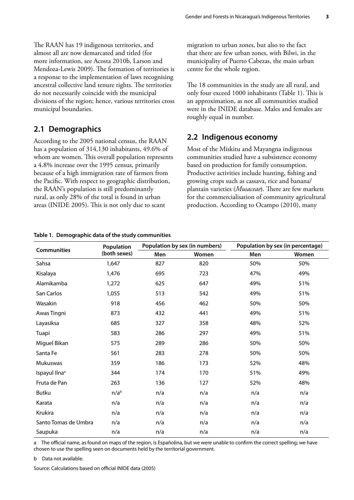<span id="page-10-0"></span>The RAAN has 19 indigenous territories, and almost all are now demarcated and titled (for more information, see Acosta 2010b, Larson and Mendoza-Lewis 2009). The formation of territories is a response to the implementation of laws recognising ancestral collective land tenure rights. The territories do not necessarily coincide with the municipal divisions of the region; hence, various territories cross municipal boundaries.

### **2.1 Demographics**

According to the 2005 national census, the RAAN has a population of 314,130 inhabitants, 49.6% of whom are women. This overall population represents a 4.8% increase over the 1995 census, primarily because of a high immigration rate of farmers from the Pacific. With respect to geographic distribution, the RAAN's population is still predominantly rural, as only 28% of the total is found in urban areas (INIDE 2005). This is not only due to scant

migration to urban zones, but also to the fact that there are few urban zones, with Bilwi, in the municipality of Puerto Cabezas, the main urban centre for the whole region.

The 18 communities in the study are all rural, and only four exceed 1000 inhabitants (Table 1). This is an approximation, as not all communities studied were in the INIDE database. Males and females are roughly equal in number.

### **2.2 Indigenous economy**

Most of the Miskitu and Mayangna indigenous communities studied have a subsistence economy based on production for family consumption. Productive activities include hunting, fishing and growing crops such as cassava, rice and banana/ plantain varieties (*Musaceae***)**. There are few markets for the commercialisation of community agricultural production. According to Ocampo (2010), many

| <b>Communities</b>        | Population       |     | Population by sex (in numbers) |     | Population by sex (in percentage) |
|---------------------------|------------------|-----|--------------------------------|-----|-----------------------------------|
|                           | (both sexes)     | Men | Women                          | Men | Women                             |
| Sahsa                     | 1,647            | 827 | 820                            | 50% | 50%                               |
| Kisalaya                  | 1,476            | 695 | 723                            | 47% | 49%                               |
| Alamikamba                | 1,272            | 625 | 647                            | 49% | 51%                               |
| San Carlos                | 1,055            | 513 | 542                            | 49% | 51%                               |
| Wasakin                   | 918              | 456 | 462                            | 50% | 50%                               |
| Awas Tingni               | 873              | 432 | 441                            | 49% | 51%                               |
| Layasiksa                 | 685              | 327 | 358                            | 48% | 52%                               |
| Tuapi                     | 583              | 286 | 297                            | 49% | 51%                               |
| Miguel Bikan              | 575              | 289 | 286                            | 50% | 50%                               |
| Santa Fe                  | 561              | 283 | 278                            | 50% | 50%                               |
| Mukuswas                  | 359              | 186 | 173                            | 52% | 48%                               |
| Ispayul Ilna <sup>a</sup> | 344              | 174 | 170                            | 51% | 49%                               |
| Fruta de Pan              | 263              | 136 | 127                            | 52% | 48%                               |
| <b>Butku</b>              | n/a <sup>b</sup> | n/a | n/a                            | n/a | n/a                               |
| Karata                    | n/a              | n/a | n/a                            | n/a | n/a                               |
| Krukira                   | n/a              | n/a | n/a                            | n/a | n/a                               |
| Santo Tomas de Umbra      | n/a              | n/a | n/a                            | n/a | n/a                               |
| Saupuka                   | n/a              | n/a | n/a                            | n/a | n/a                               |

#### **Table 1. Demographic data of the study communities**

a The official name, as found on maps of the region, is Españolina, but we were unable to confirm the correct spelling; we have chosen to use the spelling seen on documents held by the territorial government.

b Data not available.

Source: Calculations based on official INIDE data (2005)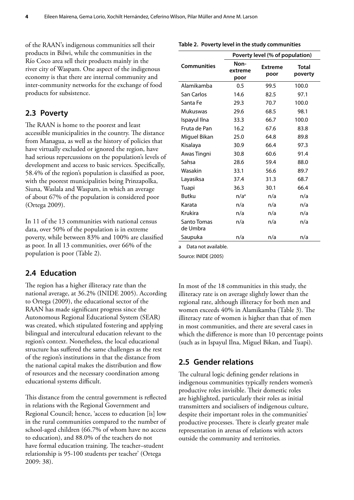<span id="page-11-0"></span>of the RAAN's indigenous communities sell their products in Bilwi, while the communities in the Río Coco area sell their products mainly in the river city of Waspam. One aspect of the indigenous economy is that there are internal community and inter-community networks for the exchange of food products for subsistence.

### **2.3 Poverty**

The RAAN is home to the poorest and least accessible municipalities in the country. The distance from Managua, as well as the history of policies that have virtually excluded or ignored the region, have had serious repercussions on the population's levels of development and access to basic services. Specifically, 58.4% of the region's population is classified as poor, with the poorest municipalities being Prinzapolka, Siuna, Waslala and Waspam, in which an average of about 67% of the population is considered poor (Ortega 2009).

In 11 of the 13 communities with national census data, over 50% of the population is in extreme poverty, while between 83% and 100% are classified as poor. In all 13 communities, over 66% of the population is poor (Table 2).

### **2.4 Education**

The region has a higher illiteracy rate than the national average, at 36.2% (INIDE 2005). According to Ortega (2009), the educational sector of the RAAN has made significant progress since the Autonomous Regional Educational System (SEAR) was created, which stipulated fostering and applying bilingual and intercultural education relevant to the region's context. Nonetheless, the local educational structure has suffered the same challenges as the rest of the region's institutions in that the distance from the national capital makes the distribution and flow of resources and the necessary coordination among educational systems difficult.

This distance from the central government is reflected in relations with the Regional Government and Regional Council; hence, 'access to education [is] low in the rural communities compared to the number of school-aged children (66.7% of whom have no access to education), and 88.0% of the teachers do not have formal education training. The teacher–student relationship is 95-100 students per teacher' (Ortega 2009: 38).

|                         |                         | Poverty level (% of population) |                  |
|-------------------------|-------------------------|---------------------------------|------------------|
| <b>Communities</b>      | Non-<br>extreme<br>poor | <b>Extreme</b><br>poor          | Total<br>poverty |
| Alamikamba              | 0.5                     | 99.5                            | 100.0            |
| San Carlos              | 14.6                    | 82.5                            | 97.1             |
| Santa Fe                | 29.3                    | 70.7                            | 100.0            |
| Mukuswas                | 29.6                    | 68.5                            | 98.1             |
| Ispayul Ilna            | 33.3                    | 66.7                            | 100.0            |
| Fruta de Pan            | 16.2                    | 67.6                            | 83.8             |
| Miguel Bikan            | 25.0                    | 64.8                            | 89.8             |
| Kisalaya                | 30.9                    | 66.4                            | 97.3             |
| Awas Tingni             | 30.8                    | 60.6                            | 91.4             |
| Sahsa                   | 28.6                    | 59.4                            | 88.0             |
| Wasakin                 | 33.1                    | 56.6                            | 89.7             |
| Layasiksa               | 37.4                    | 31.3                            | 68.7             |
| Tuapi                   | 36.3                    | 30.1                            | 66.4             |
| <b>Butku</b>            | n/a <sup>a</sup>        | n/a                             | n/a              |
| Karata                  | n/a                     | n/a                             | n/a              |
| <b>Krukira</b>          | n/a                     | n/a                             | n/a              |
| Santo Tomas<br>de Umbra | n/a                     | n/a                             | n/a              |
| Saupuka                 | n/a                     | n/a                             | n/a              |

#### **Table 2. Poverty level in the study communities**

a Data not available.

Source: INIDE (2005)

In most of the 18 communities in this study, the illiteracy rate is on average slightly lower than the regional rate, although illiteracy for both men and women exceeds 40% in Alamikamba (Table 3). The illiteracy rate of women is higher than that of men in most communities, and there are several cases in which the difference is more than 10 percentage points (such as in Ispayul Ilna, Miguel Bikan, and Tuapi).

### **2.5 Gender relations**

The cultural logic defining gender relations in indigenous communities typically renders women's productive roles invisible. Their domestic roles are highlighted, particularly their roles as initial transmitters and socialisers of indigenous culture, despite their important roles in the communities' productive processes. There is clearly greater male representation in arenas of relations with actors outside the community and territories.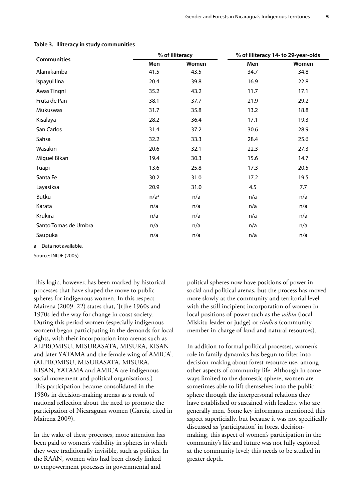|                      |                  | % of illiteracy |      | % of illiteracy 14- to 29-year-olds |
|----------------------|------------------|-----------------|------|-------------------------------------|
| <b>Communities</b>   | Men              | Women           | Men  | Women                               |
| Alamikamba           | 41.5             | 43.5            | 34.7 | 34.8                                |
| Ispayul Ilna         | 20.4             | 39.8            | 16.9 | 22.8                                |
| Awas Tingni          | 35.2             | 43.2            | 11.7 | 17.1                                |
| Fruta de Pan         | 38.1             | 37.7            | 21.9 | 29.2                                |
| Mukuswas             | 31.7             | 35.8            | 13.2 | 18.8                                |
| Kisalaya             | 28.2             | 36.4            | 17.1 | 19.3                                |
| San Carlos           | 31.4             | 37.2            | 30.6 | 28.9                                |
| Sahsa                | 32.2             | 33.3            | 28.4 | 25.6                                |
| Wasakin              | 20.6             | 32.1            | 22.3 | 27.3                                |
| Miguel Bikan         | 19.4             | 30.3            | 15.6 | 14.7                                |
| Tuapi                | 13.6             | 25.8            | 17.3 | 20.5                                |
| Santa Fe             | 30.2             | 31.0            | 17.2 | 19.5                                |
| Layasiksa            | 20.9             | 31.0            | 4.5  | 7.7                                 |
| Butku                | n/a <sup>a</sup> | n/a             | n/a  | n/a                                 |
| Karata               | n/a              | n/a             | n/a  | n/a                                 |
| Krukira              | n/a              | n/a             | n/a  | n/a                                 |
| Santo Tomas de Umbra | n/a              | n/a             | n/a  | n/a                                 |
| Saupuka              | n/a              | n/a             | n/a  | n/a                                 |

#### <span id="page-12-0"></span>**Table 3. Illiteracy in study communities**

a Data not available.

Source: INIDE (2005)

This logic, however, has been marked by historical processes that have shaped the move to public spheres for indigenous women. In this respect Mairena (2009: 22) states that, '[t]he 1960s and 1970s led the way for change in coast society. During this period women (especially indigenous women) began participating in the demands for local rights, with their incorporation into arenas such as ALPROMISU, MISURASATA, MISURA, KISAN and later YATAMA and the female wing of AMICA'. (ALPROMISU, MISURASATA, MISURA, KISAN, YATAMA and AMICA are indigenous social movement and political organisations.) This participation became consolidated in the 1980s in decision-making arenas as a result of national reflection about the need to promote the participation of Nicaraguan women (García, cited in Mairena 2009).

In the wake of these processes, more attention has been paid to women's visibility in spheres in which they were traditionally invisible, such as politics. In the RAAN, women who had been closely linked to empowerment processes in governmental and

political spheres now have positions of power in social and political arenas, but the process has moved more slowly at the community and territorial level with the still incipient incorporation of women in local positions of power such as the *wihta* (local Miskitu leader or judge) or *síndico* (community member in charge of land and natural resources).

In addition to formal political processes, women's role in family dynamics has begun to filter into decision-making about forest resource use, among other aspects of community life. Although in some ways limited to the domestic sphere, women are sometimes able to lift themselves into the public sphere through the interpersonal relations they have established or sustained with leaders, who are generally men. Some key informants mentioned this aspect superficially, but because it was not specifically discussed as 'participation' in forest decisionmaking, this aspect of women's participation in the community's life and future was not fully explored at the community level; this needs to be studied in greater depth.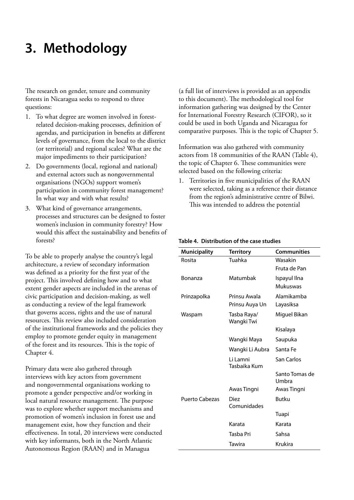# <span id="page-13-0"></span>**3. Methodology**

The research on gender, tenure and community forests in Nicaragua seeks to respond to three questions:

- 1. To what degree are women involved in forestrelated decision-making processes, definition of agendas, and participation in benefits at different levels of governance, from the local to the district (or territorial) and regional scales? What are the major impediments to their participation?
- 2. Do governments (local, regional and national) and external actors such as nongovernmental organisations (NGOs) support women's participation in community forest management? In what way and with what results?
- 3. What kind of governance arrangements, processes and structures can be designed to foster women's inclusion in community forestry? How would this affect the sustainability and benefits of forests?

To be able to properly analyse the country's legal architecture, a review of secondary information was defined as a priority for the first year of the project. This involved defining how and to what extent gender aspects are included in the arenas of civic participation and decision-making, as well as conducting a review of the legal framework that governs access, rights and the use of natural resources. This review also included consideration of the institutional frameworks and the policies they employ to promote gender equity in management of the forest and its resources. This is the topic of Chapter 4.

Primary data were also gathered through interviews with key actors from government and nongovernmental organisations working to promote a gender perspective and/or working in local natural resource management. The purpose was to explore whether support mechanisms and promotion of women's inclusion in forest use and management exist, how they function and their effectiveness. In total, 20 interviews were conducted with key informants, both in the North Atlantic Autonomous Region (RAAN) and in Managua

(a full list of interviews is provided as an appendix to this document). The methodological tool for information gathering was designed by the Center for International Forestry Research (CIFOR), so it could be used in both Uganda and Nicaragua for comparative purposes. This is the topic of Chapter 5.

Information was also gathered with community actors from 18 communities of the RAAN (Table 4), the topic of Chapter 6. These communities were selected based on the following criteria:

1. Territories in five municipalities of the RAAN were selected, taking as a reference their distance from the region's administrative centre of Bilwi. This was intended to address the potential

| <b>Municipality</b>   | <b>Territory</b>           | <b>Communities</b>      |
|-----------------------|----------------------------|-------------------------|
| Rosita                | Tuahka                     | Wasakin                 |
|                       |                            | Fruta de Pan            |
| Bonanza               | Matumbak                   | Ispayul Ilna            |
|                       |                            | Mukuswas                |
| Prinzapolka           | Prinsu Awala               | Alamikamba              |
|                       | Prinsu Auya Un             | Layasiksa               |
| Waspam                | Tasba Raya/<br>Wangki Twi  | Miguel Bikan            |
|                       |                            | Kisalaya                |
|                       | Wangki Maya                | Saupuka                 |
|                       | Wangki Li Aubra            | Santa Fe                |
|                       | l i I amni<br>Tasbaika Kum | San Carlos              |
|                       |                            | Santo Tomas de<br>Umbra |
|                       | Awas Tingni                | Awas Tingni             |
| <b>Puerto Cabezas</b> | Diez<br>Comunidades        | <b>Butku</b>            |
|                       |                            | Tuapi                   |
|                       | Karata                     | Karata                  |
|                       | Tasba Pri                  | Sahsa                   |
|                       | Tawira                     | Krukira                 |

#### **Table 4. Distribution of the case studies**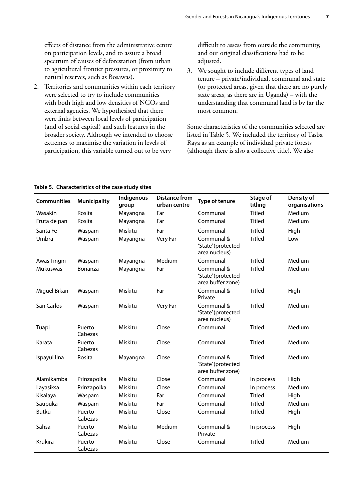<span id="page-14-0"></span>effects of distance from the administrative centre on participation levels, and to assure a broad spectrum of causes of deforestation (from urban to agricultural frontier pressures, or proximity to natural reserves, such as Bosawas).

2. Territories and communities within each territory were selected to try to include communities with both high and low densities of NGOs and external agencies. We hypothesised that there were links between local levels of participation (and of social capital) and such features in the broader society. Although we intended to choose extremes to maximise the variation in levels of participation, this variable turned out to be very

difficult to assess from outside the community, and our original classifications had to be adjusted.

3. We sought to include different types of land tenure – private/individual, communal and state (or protected areas, given that there are no purely state areas, as there are in Uganda) – with the understanding that communal land is by far the most common.

Some characteristics of the communities selected are listed in Table 5. We included the territory of Tasba Raya as an example of individual private forests (although there is also a collective title). We also

| <b>Communities</b> | <b>Municipality</b> | Indigenous<br>group | <b>Distance from</b><br>urban centre | Type of tenure                                        | Stage of<br>titling | Density of<br>organisations |
|--------------------|---------------------|---------------------|--------------------------------------|-------------------------------------------------------|---------------------|-----------------------------|
| Wasakin            | Rosita              | Mayangna            | Far                                  | Communal                                              | <b>Titled</b>       | Medium                      |
| Fruta de pan       | Rosita              | Mayangna            | Far                                  | Communal                                              | <b>Titled</b>       | Medium                      |
| Santa Fe           | Waspam              | Miskitu             | Far                                  | Communal                                              | <b>Titled</b>       | High                        |
| Umbra              | Waspam              | Mayangna            | Very Far                             | Communal &<br>'State' (protected<br>area nucleus)     | <b>Titled</b>       | Low                         |
| Awas Tingni        | Waspam              | Mayangna            | Medium                               | Communal                                              | <b>Titled</b>       | Medium                      |
| Mukuswas           | Bonanza             | Mayangna            | Far                                  | Communal &<br>'State' (protected<br>area buffer zone) | <b>Titled</b>       | Medium                      |
| Miguel Bikan       | Waspam              | Miskitu             | Far                                  | Communal &<br>Private                                 | <b>Titled</b>       | High                        |
| San Carlos         | Waspam              | Miskitu             | Very Far                             | Communal &<br>'State' (protected<br>area nucleus)     | <b>Titled</b>       | Medium                      |
| Tuapi              | Puerto<br>Cabezas   | Miskitu             | Close                                | Communal                                              | <b>Titled</b>       | Medium                      |
| Karata             | Puerto<br>Cabezas   | Miskitu             | Close                                | Communal                                              | <b>Titled</b>       | Medium                      |
| Ispayul Ilna       | Rosita              | Mayangna            | Close                                | Communal &<br>'State' (protected<br>area buffer zone) | <b>Titled</b>       | Medium                      |
| Alamikamba         | Prinzapolka         | Miskitu             | Close                                | Communal                                              | In process          | High                        |
| Layasiksa          | Prinzapolka         | Miskitu             | Close                                | Communal                                              | In process          | Medium                      |
| Kisalaya           | Waspam              | Miskitu             | Far                                  | Communal                                              | <b>Titled</b>       | High                        |
| Saupuka            | Waspam              | Miskitu             | Far                                  | Communal                                              | <b>Titled</b>       | Medium                      |
| <b>Butku</b>       | Puerto<br>Cabezas   | Miskitu             | Close                                | Communal                                              | <b>Titled</b>       | High                        |
| Sahsa              | Puerto<br>Cabezas   | Miskitu             | Medium                               | Communal &<br>Private                                 | In process          | High                        |
| Krukira            | Puerto<br>Cabezas   | Miskitu             | Close                                | Communal                                              | <b>Titled</b>       | Medium                      |

#### **Table 5. Characteristics of the case study sites**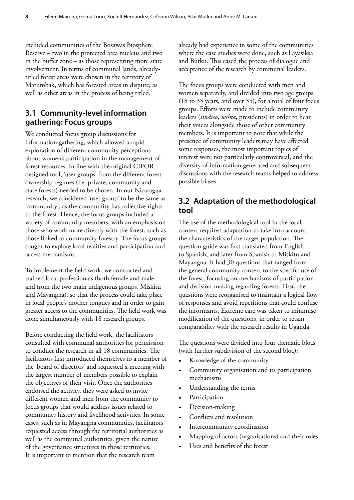<span id="page-15-0"></span>included communities of the Bosawas Biosphere Reserve – two in the protected area nucleus and two in the buffer zone – as those representing more state involvement. In terms of communal lands, alreadytitled forest areas were chosen in the territory of Matumbak, which has forested areas in dispute, as well as other areas in the process of being titled.

### **3.1 Community-level information gathering: Focus groups**

We conducted focus group discussions for information gathering, which allowed a rapid exploration of different community perceptions about women's participation in the management of forest resources. In line with the original CIFORdesigned tool, 'user groups' from the different forest ownership regimes (i.e. private, community and state forests) needed to be chosen. In our Nicaragua research, we considered 'user group' to be the same as 'community', as the community has collective rights to the forest. Hence, the focus groups included a variety of community members, with an emphasis on those who work more directly with the forest, such as those linked to community forestry. The focus groups sought to explore local realities and participation and access mechanisms.

To implement the field work, we contracted and trained local professionals (both female and male, and from the two main indigenous groups, Miskitu and Mayangna), so that the process could take place in local people's mother tongues and in order to gain greater access to the communities. The field work was done simultaneously with 18 research groups.

Before conducting the field work, the facilitators consulted with communal authorities for permission to conduct the research in all 18 communities. The facilitators first introduced themselves to a member of the 'board of directors' and requested a meeting with the largest number of members possible to explain the objectives of their visit. Once the authorities endorsed the activity, they were asked to invite different women and men from the community to focus groups that would address issues related to community history and livelihood activities. In some cases, such as in Mayangna communities, facilitators requested access through the territorial authorities as well as the communal authorities, given the nature of the governance structures in those territories. It is important to mention that the research team

already had experience in some of the communities where the case studies were done, such as Layasiksa and Butku. This eased the process of dialogue and acceptance of the research by communal leaders.

The focus groups were conducted with men and women separately, and divided into two age groups (18 to 35 years, and over 35), for a total of four focus groups. Efforts were made to include community leaders (*síndico*, *wihta*, presidents) in order to hear their voices alongside those of other community members. It is important to note that while the presence of community leaders may have affected some responses, the most important topics of interest were not particularly controversial, and the diversity of information generated and subsequent discussions with the research teams helped to address possible biases.

### **3.2 Adaptation of the methodological tool**

The use of the methodological tool in the local context required adaptation to take into account the characteristics of the target population. The question guide was first translated from English to Spanish, and later from Spanish to Miskitu and Mayangna. It had 30 questions that ranged from the general community context to the specific use of the forest, focusing on mechanisms of participation and decision-making regarding forests. First, the questions were reorganised to maintain a logical flow of responses and avoid repetitions that could confuse the informants. Extreme care was taken to minimise modification of the questions, in order to retain comparability with the research results in Uganda.

The questions were divided into four thematic blocs (with further subdivision of the second bloc):

- Knowledge of the community
- Community organisation and its participation mechanisms
- Understanding the terms
- Participation
- Decision-making
- Conflicts and resolution
- Intercommunity coordination
- Mapping of actors (organisations) and their roles
- Uses and benefits of the forest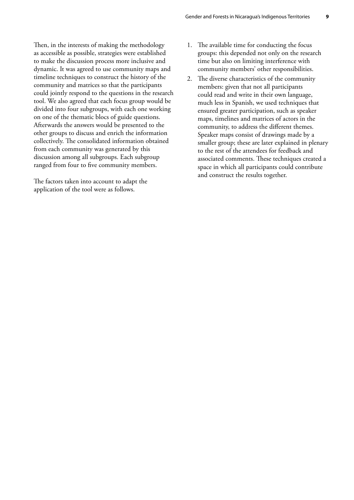Then, in the interests of making the methodology as accessible as possible, strategies were established to make the discussion process more inclusive and dynamic. It was agreed to use community maps and timeline techniques to construct the history of the community and matrices so that the participants could jointly respond to the questions in the research tool. We also agreed that each focus group would be divided into four subgroups, with each one working on one of the thematic blocs of guide questions. Afterwards the answers would be presented to the other groups to discuss and enrich the information collectively. The consolidated information obtained from each community was generated by this discussion among all subgroups. Each subgroup ranged from four to five community members.

The factors taken into account to adapt the application of the tool were as follows.

- 1. The available time for conducting the focus groups: this depended not only on the research time but also on limiting interference with community members' other responsibilities.
- 2. The diverse characteristics of the community members: given that not all participants could read and write in their own language, much less in Spanish, we used techniques that ensured greater participation, such as speaker maps, timelines and matrices of actors in the community, to address the different themes. Speaker maps consist of drawings made by a smaller group; these are later explained in plenary to the rest of the attendees for feedback and associated comments. These techniques created a space in which all participants could contribute and construct the results together.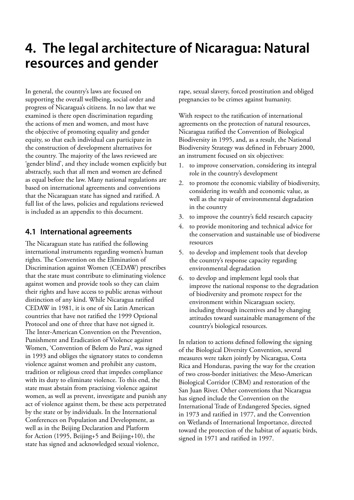# <span id="page-17-0"></span>**4. The legal architecture of Nicaragua: Natural resources and gender**

In general, the country's laws are focused on supporting the overall wellbeing, social order and progress of Nicaragua's citizens. In no law that we examined is there open discrimination regarding the actions of men and women, and most have the objective of promoting equality and gender equity, so that each individual can participate in the construction of development alternatives for the country. The majority of the laws reviewed are 'gender blind', and they include women explicitly but abstractly, such that all men and women are defined as equal before the law. Many national regulations are based on international agreements and conventions that the Nicaraguan state has signed and ratified. A full list of the laws, policies and regulations reviewed is included as an appendix to this document.

### **4.1 International agreements**

The Nicaraguan state has ratified the following international instruments regarding women's human rights. The Convention on the Elimination of Discrimination against Women (CEDAW) prescribes that the state must contribute to eliminating violence against women and provide tools so they can claim their rights and have access to public arenas without distinction of any kind. While Nicaragua ratified CEDAW in 1981, it is one of six Latin American countries that have not ratified the 1999 Optional Protocol and one of three that have not signed it. The Inter-American Convention on the Prevention, Punishment and Eradication of Violence against Women, 'Convention of Belem do Para', was signed in 1993 and obliges the signatory states to condemn violence against women and prohibit any custom, tradition or religious creed that impedes compliance with its duty to eliminate violence. To this end, the state must abstain from practising violence against women, as well as prevent, investigate and punish any act of violence against them, be these acts perpetrated by the state or by individuals. In the International Conferences on Population and Development, as well as in the Beijing Declaration and Platform for Action (1995, Beijing+5 and Beijing+10), the state has signed and acknowledged sexual violence,

rape, sexual slavery, forced prostitution and obliged pregnancies to be crimes against humanity.

With respect to the ratification of international agreements on the protection of natural resources, Nicaragua ratified the Convention of Biological Biodiversity in 1995, and, as a result, the National Biodiversity Strategy was defined in February 2000, an instrument focused on six objectives:

- 1. to improve conservation, considering its integral role in the country's development
- 2. to promote the economic viability of biodiversity, considering its wealth and economic value, as well as the repair of environmental degradation in the country
- 3. to improve the country's field research capacity
- 4. to provide monitoring and technical advice for the conservation and sustainable use of biodiverse resources
- 5. to develop and implement tools that develop the country's response capacity regarding environmental degradation
- 6. to develop and implement legal tools that improve the national response to the degradation of biodiversity and promote respect for the environment within Nicaraguan society, including through incentives and by changing attitudes toward sustainable management of the country's biological resources.

In relation to actions defined following the signing of the Biological Diversity Convention, several measures were taken jointly by Nicaragua, Costa Rica and Honduras, paving the way for the creation of two cross-border initiatives: the Meso-American Biological Corridor (CBM) and restoration of the San Juan River. Other conventions that Nicaragua has signed include the Convention on the International Trade of Endangered Species, signed in 1973 and ratified in 1977, and the Convention on Wetlands of International Importance, directed toward the protection of the habitat of aquatic birds, signed in 1971 and ratified in 1997.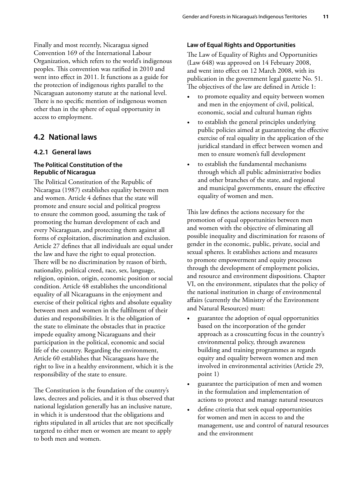<span id="page-18-0"></span>Finally and most recently, Nicaragua signed Convention 169 of the International Labour Organization, which refers to the world's indigenous peoples. This convention was ratified in 2010 and went into effect in 2011. It functions as a guide for the protection of indigenous rights parallel to the Nicaraguan autonomy statute at the national level. There is no specific mention of indigenous women other than in the sphere of equal opportunity in access to employment.

# **4.2 National laws**

### **4.2.1 General laws**

#### **The Political Constitution of the Republic of Nicaragua**

The Political Constitution of the Republic of Nicaragua (1987) establishes equality between men and women. Article 4 defines that the state will promote and ensure social and political progress to ensure the common good, assuming the task of promoting the human development of each and every Nicaraguan, and protecting them against all forms of exploitation, discrimination and exclusion. Article 27 defines that all individuals are equal under the law and have the right to equal protection. There will be no discrimination by reason of birth, nationality, political creed, race, sex, language, religion, opinion, origin, economic position or social condition. Article 48 establishes the unconditional equality of all Nicaraguans in the enjoyment and exercise of their political rights and absolute equality between men and women in the fulfilment of their duties and responsibilities. It is the obligation of the state to eliminate the obstacles that in practice impede equality among Nicaraguans and their participation in the political, economic and social life of the country. Regarding the environment, Article 60 establishes that Nicaraguans have the right to live in a healthy environment, which it is the responsibility of the state to ensure.

The Constitution is the foundation of the country's laws, decrees and policies, and it is thus observed that national legislation generally has an inclusive nature, in which it is understood that the obligations and rights stipulated in all articles that are not specifically targeted to either men or women are meant to apply to both men and women.

#### **Law of Equal Rights and Opportunities**

The Law of Equality of Rights and Opportunities (Law 648) was approved on 14 February 2008, and went into effect on 12 March 2008, with its publication in the government legal gazette No. 51. The objectives of the law are defined in Article 1:

- to promote equality and equity between women and men in the enjoyment of civil, political, economic, social and cultural human rights
- to establish the general principles underlying public policies aimed at guaranteeing the effective exercise of real equality in the application of the juridical standard in effect between women and men to ensure women's full development
- to establish the fundamental mechanisms through which all public administrative bodies and other branches of the state, and regional and municipal governments, ensure the effective equality of women and men.

This law defines the actions necessary for the promotion of equal opportunities between men and women with the objective of eliminating all possible inequality and discrimination for reasons of gender in the economic, public, private, social and sexual spheres. It establishes actions and measures to promote empowerment and equity processes through the development of employment policies, and resource and environment dispositions. Chapter VI, on the environment, stipulates that the policy of the national institution in charge of environmental affairs (currently the Ministry of the Environment and Natural Resources) must:

- guarantee the adoption of equal opportunities based on the incorporation of the gender approach as a crosscutting focus in the country's environmental policy, through awareness building and training programmes as regards equity and equality between women and men involved in environmental activities (Article 29, point 1)
- guarantee the participation of men and women in the formulation and implementation of actions to protect and manage natural resources
- define criteria that seek equal opportunities for women and men in access to and the management, use and control of natural resources and the environment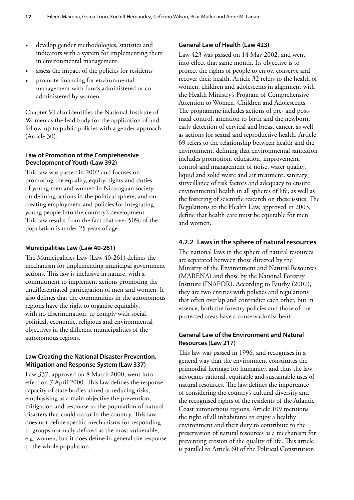- develop gender methodologies, statistics and indicators with a system for implementing them in environmental management
- assess the impact of the policies for residents
- promote financing for environmental management with funds administered or coadministered by women.

Chapter VI also identifies the National Institute of Women as the lead body for the application of and follow-up to public policies with a gender approach (Article 30).

#### **Law of Promotion of the Comprehensive Development of Youth (Law 392)**

This law was passed in 2002 and focuses on promoting the equality, equity, rights and duties of young men and women in Nicaraguan society, on defining actions in the political sphere, and on creating employment and policies for integrating young people into the country's development. This law results from the fact that over 50% of the population is under 25 years of age.

#### **Municipalities Law (Law 40-261)**

The Municipalities Law (Law 40-261) defines the mechanism for implementing municipal government actions. This law is inclusive in nature, with a commitment to implement actions promoting the undifferentiated participation of men and women. It also defines that the communities in the autonomous regions have the right to organise equitably, with no discrimination, to comply with social, political, economic, religious and environmental objectives in the different municipalities of the autonomous regions.

#### **Law Creating the National Disaster Prevention, Mitigation and Response System (Law 337)**

Law 337, approved on 8 March 2000, went into effect on 7 April 2000. This law defines the response capacity of state bodies aimed at reducing risks, emphasising as a main objective the prevention, mitigation and response to the population of natural disasters that could occur in the country. This law does not define specific mechanisms for responding to groups normally defined as the most vulnerable, e.g. women, but it does define in general the response to the whole population.

#### **General Law of Health (Law 423)**

Law 423 was passed on 14 May 2002, and went into effect that same month. Its objective is to protect the rights of people to enjoy, conserve and recover their health. Article 32 refers to the health of women, children and adolescents in alignment with the Health Ministry's Program of Comprehensive Attention to Women, Children and Adolescents. The programme includes actions of pre- and postnatal control, attention to birth and the newborn, early detection of cervical and breast cancer, as well as actions for sexual and reproductive health. Article 69 refers to the relationship between health and the environment, defining that environmental sanitation includes promotion, education, improvement, control and management of noise, water quality, liquid and solid waste and air treatment, sanitary surveillance of risk factors and adequacy to ensure environmental health in all spheres of life, as well as the fostering of scientific research on these issues. The Regulations to the Health Law, approved in 2003, define that health care must be equitable for men and women.

#### **4.2.2 Laws in the sphere of natural resources**

The national laws in the sphere of natural resources are separated between those directed by the Ministry of the Environment and Natural Resources (MARENA) and those by the National Forestry Institute (INAFOR). According to Faurby (2007), they are two entities with policies and regulations that often overlap and contradict each other, but in essence, both the forestry policies and those of the protected areas have a conservationist bent.

#### **General Law of the Environment and Natural Resources (Law 217)**

This law was passed in 1996, and recognises in a general way that the environment constitutes the primordial heritage for humanity, and thus the law advocates rational, equitable and sustainable uses of natural resources. The law defines the importance of considering the country's cultural diversity and the recognised rights of the residents of the Atlantic Coast autonomous regions. Article 109 mentions the right of all inhabitants to enjoy a healthy environment and their duty to contribute to the preservation of natural resources as a mechanism for preventing erosion of the quality of life. This article is parallel to Article 60 of the Political Constitution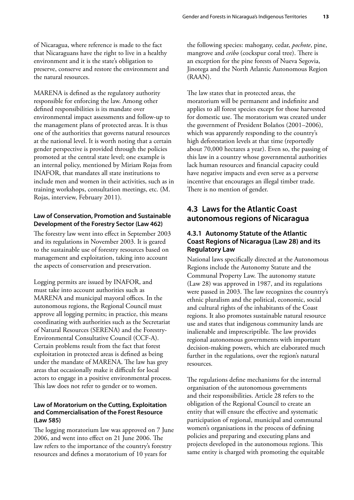<span id="page-20-0"></span>of Nicaragua, where reference is made to the fact that Nicaraguans have the right to live in a healthy environment and it is the state's obligation to preserve, conserve and restore the environment and the natural resources.

MARENA is defined as the regulatory authority responsible for enforcing the law. Among other defined responsibilities is its mandate over environmental impact assessments and follow-up to the management plans of protected areas. It is thus one of the authorities that governs natural resources at the national level. It is worth noting that a certain gender perspective is provided through the policies promoted at the central state level; one example is an internal policy, mentioned by Miriam Rojas from INAFOR, that mandates all state institutions to include men and women in their activities, such as in training workshops, consultation meetings, etc. (M. Rojas, interview, February 2011).

#### **Law of Conservation, Promotion and Sustainable Development of the Forestry Sector (Law 462)**

The forestry law went into effect in September 2003 and its regulations in November 2003. It is geared to the sustainable use of forestry resources based on management and exploitation, taking into account the aspects of conservation and preservation.

Logging permits are issued by INAFOR, and must take into account authorities such as MARENA and municipal mayoral offices. In the autonomous regions, the Regional Council must approve all logging permits; in practice, this means coordinating with authorities such as the Secretariat of Natural Resources (SERENA) and the Forestry-Environmental Consultative Council (CCF-A). Certain problems result from the fact that forest exploitation in protected areas is defined as being under the mandate of MARENA. The law has grey areas that occasionally make it difficult for local actors to engage in a positive environmental process. This law does not refer to gender or to women.

#### **Law of Moratorium on the Cutting, Exploitation and Commercialisation of the Forest Resource (Law 585)**

The logging moratorium law was approved on 7 June 2006, and went into effect on 21 June 2006. The law refers to the importance of the country's forestry resources and defines a moratorium of 10 years for

the following species: mahogany, cedar, *pochote*, pine, mangrove and *ceibo* (cockspur coral tree). There is an exception for the pine forests of Nueva Segovia, Jinotega and the North Atlantic Autonomous Region (RAAN).

The law states that in protected areas, the moratorium will be permanent and indefinite and applies to all forest species except for those harvested for domestic use. The moratorium was created under the government of President Bolaños (2001–2006), which was apparently responding to the country's high deforestation levels at that time (reportedly about 70,000 hectares a year). Even so, the passing of this law in a country whose governmental authorities lack human resources and financial capacity could have negative impacts and even serve as a perverse incentive that encourages an illegal timber trade. There is no mention of gender.

### **4.3 Laws for the Atlantic Coast autonomous regions of Nicaragua**

#### **4.3.1 Autonomy Statute of the Atlantic Coast Regions of Nicaragua (Law 28) and its Regulatory Law**

National laws specifically directed at the Autonomous Regions include the Autonomy Statute and the Communal Property Law. The autonomy statute (Law 28) was approved in 1987, and its regulations were passed in 2003. The law recognizes the country's ethnic pluralism and the political, economic, social and cultural rights of the inhabitants of the Coast regions. It also promotes sustainable natural resource use and states that indigenous community lands are inalienable and imprescriptible. The law provides regional autonomous governments with important decision-making powers, which are elaborated much further in the regulations, over the region's natural resources.

The regulations define mechanisms for the internal organisation of the autonomous governments and their responsibilities. Article 28 refers to the obligation of the Regional Council to create an entity that will ensure the effective and systematic participation of regional, municipal and communal women's organisations in the process of defining policies and preparing and executing plans and projects developed in the autonomous regions. This same entity is charged with promoting the equitable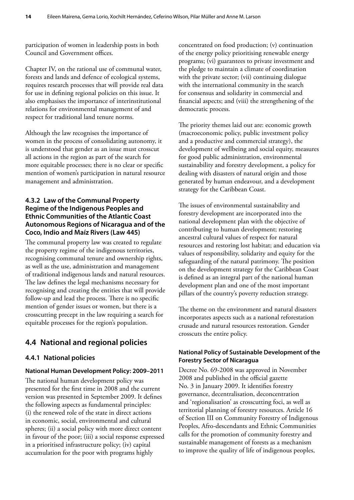<span id="page-21-0"></span>participation of women in leadership posts in both Council and Government offices.

Chapter IV, on the rational use of communal water, forests and lands and defence of ecological systems, requires research processes that will provide real data for use in defining regional policies on this issue. It also emphasises the importance of interinstitutional relations for environmental management of and respect for traditional land tenure norms.

Although the law recognises the importance of women in the process of consolidating autonomy, it is understood that gender as an issue must crosscut all actions in the region as part of the search for more equitable processes; there is no clear or specific mention of women's participation in natural resource management and administration.

#### **4.3.2 Law of the Communal Property Regime of the Indigenous Peoples and Ethnic Communities of the Atlantic Coast Autonomous Regions of Nicaragua and of the Coco, Indio and Maíz Rivers (Law 445)**

The communal property law was created to regulate the property regime of the indigenous territories, recognising communal tenure and ownership rights, as well as the use, administration and management of traditional indigenous lands and natural resources. The law defines the legal mechanisms necessary for recognising and creating the entities that will provide follow-up and lead the process. There is no specific mention of gender issues or women, but there is a crosscutting precept in the law requiring a search for equitable processes for the region's population.

# **4.4 National and regional policies**

### **4.4.1 National policies**

#### **National Human Development Policy: 2009–2011**

The national human development policy was presented for the first time in 2008 and the current version was presented in September 2009. It defines the following aspects as fundamental principles: (i) the renewed role of the state in direct actions in economic, social, environmental and cultural spheres; (ii) a social policy with more direct content in favour of the poor; (iii) a social response expressed in a prioritised infrastructure policy; (iv) capital accumulation for the poor with programs highly

concentrated on food production; (v) continuation of the energy policy prioritising renewable energy programs; (vi) guarantees to private investment and the pledge to maintain a climate of coordination with the private sector; (vii) continuing dialogue with the international community in the search for consensus and solidarity in commercial and financial aspects; and (viii) the strengthening of the democratic process.

The priority themes laid out are: economic growth (macroeconomic policy, public investment policy and a productive and commercial strategy), the development of wellbeing and social equity, measures for good public administration, environmental sustainability and forestry development, a policy for dealing with disasters of natural origin and those generated by human endeavour, and a development strategy for the Caribbean Coast.

The issues of environmental sustainability and forestry development are incorporated into the national development plan with the objective of contributing to human development; restoring ancestral cultural values of respect for natural resources and restoring lost habitat; and education via values of responsibility, solidarity and equity for the safeguarding of the natural patrimony. The position on the development strategy for the Caribbean Coast is defined as an integral part of the national human development plan and one of the most important pillars of the country's poverty reduction strategy.

The theme on the environment and natural disasters incorporates aspects such as a national reforestation crusade and natural resources restoration. Gender crosscuts the entire policy.

#### **National Policy of Sustainable Development of the Forestry Sector of Nicaragua**

Decree No. 69-2008 was approved in November 2008 and published in the official gazette No. 3 in January 2009. It identifies forestry governance, decentralisation, deconcentration and 'regionalisation' as crosscutting foci, as well as territorial planning of forestry resources. Article 16 of Section III on Community Forestry of Indigenous Peoples, Afro-descendants and Ethnic Communities calls for the promotion of community forestry and sustainable management of forests as a mechanism to improve the quality of life of indigenous peoples,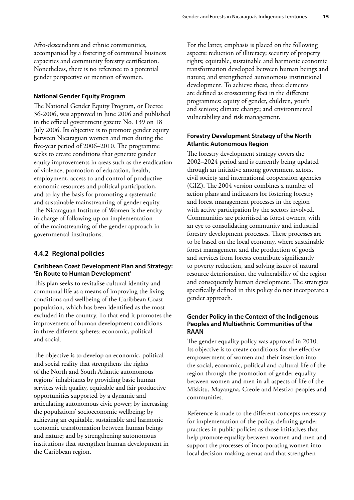Afro-descendants and ethnic communities, accompanied by a fostering of communal business capacities and community forestry certification. Nonetheless, there is no reference to a potential gender perspective or mention of women.

#### **National Gender Equity Program**

The National Gender Equity Program, or Decree 36-2006, was approved in June 2006 and published in the official government gazette No. 139 on 18 July 2006. Its objective is to promote gender equity between Nicaraguan women and men during the five-year period of 2006–2010. The programme seeks to create conditions that generate gender equity improvements in areas such as the eradication of violence, promotion of education, health, employment, access to and control of productive economic resources and political participation, and to lay the basis for promoting a systematic and sustainable mainstreaming of gender equity. The Nicaraguan Institute of Women is the entity in charge of following up on implementation of the mainstreaming of the gender approach in governmental institutions.

#### **4.4.2 Regional policies**

#### **Caribbean Coast Development Plan and Strategy: 'En Route to Human Development'**

This plan seeks to revitalise cultural identity and communal life as a means of improving the living conditions and wellbeing of the Caribbean Coast population, which has been identified as the most excluded in the country. To that end it promotes the improvement of human development conditions in three different spheres: economic, political and social.

The objective is to develop an economic, political and social reality that strengthens the rights of the North and South Atlantic autonomous regions' inhabitants by providing basic human services with quality, equitable and fair productive opportunities supported by a dynamic and articulating autonomous civic power; by increasing the populations' socioeconomic wellbeing; by achieving an equitable, sustainable and harmonic economic transformation between human beings and nature; and by strengthening autonomous institutions that strengthen human development in the Caribbean region.

For the latter, emphasis is placed on the following aspects: reduction of illiteracy; security of property rights; equitable, sustainable and harmonic economic transformation developed between human beings and nature; and strengthened autonomous institutional development. To achieve these, three elements are defined as crosscutting foci in the different programmes: equity of gender, children, youth and seniors; climate change; and environmental vulnerability and risk management.

#### **Forestry Development Strategy of the North Atlantic Autonomous Region**

The forestry development strategy covers the 2002–2024 period and is currently being updated through an initiative among government actors, civil society and international cooperation agencies (GIZ). The 2004 version combines a number of action plans and indicators for fostering forestry and forest management processes in the region with active participation by the sectors involved. Communities are prioritised as forest owners, with an eye to consolidating community and industrial forestry development processes. These processes are to be based on the local economy, where sustainable forest management and the production of goods and services from forests contribute significantly to poverty reduction, and solving issues of natural resource deterioration, the vulnerability of the region and consequently human development. The strategies specifically defined in this policy do not incorporate a gender approach.

#### **Gender Policy in the Context of the Indigenous Peoples and Multiethnic Communities of the RAAN**

The gender equality policy was approved in 2010. Its objective is to create conditions for the effective empowerment of women and their insertion into the social, economic, political and cultural life of the region through the promotion of gender equality between women and men in all aspects of life of the Miskitu, Mayangna, Creole and Mestizo peoples and communities.

Reference is made to the different concepts necessary for implementation of the policy, defining gender practices in public policies as those initiatives that help promote equality between women and men and support the processes of incorporating women into local decision-making arenas and that strengthen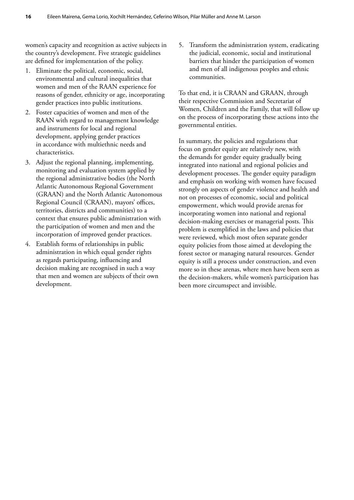women's capacity and recognition as active subjects in the country's development. Five strategic guidelines are defined for implementation of the policy.

- 1. Eliminate the political, economic, social, environmental and cultural inequalities that women and men of the RAAN experience for reasons of gender, ethnicity or age, incorporating gender practices into public institutions.
- 2. Foster capacities of women and men of the RAAN with regard to management knowledge and instruments for local and regional development, applying gender practices in accordance with multiethnic needs and characteristics.
- 3. Adjust the regional planning, implementing, monitoring and evaluation system applied by the regional administrative bodies (the North Atlantic Autonomous Regional Government (GRAAN) and the North Atlantic Autonomous Regional Council (CRAAN), mayors' offices, territories, districts and communities) to a context that ensures public administration with the participation of women and men and the incorporation of improved gender practices.
- 4. Establish forms of relationships in public administration in which equal gender rights as regards participating, influencing and decision making are recognised in such a way that men and women are subjects of their own development.

5. Transform the administration system, eradicating the judicial, economic, social and institutional barriers that hinder the participation of women and men of all indigenous peoples and ethnic communities.

To that end, it is CRAAN and GRAAN, through their respective Commission and Secretariat of Women, Children and the Family, that will follow up on the process of incorporating these actions into the governmental entities.

In summary, the policies and regulations that focus on gender equity are relatively new, with the demands for gender equity gradually being integrated into national and regional policies and development processes. The gender equity paradigm and emphasis on working with women have focused strongly on aspects of gender violence and health and not on processes of economic, social and political empowerment, which would provide arenas for incorporating women into national and regional decision-making exercises or managerial posts. This problem is exemplified in the laws and policies that were reviewed, which most often separate gender equity policies from those aimed at developing the forest sector or managing natural resources. Gender equity is still a process under construction, and even more so in these arenas, where men have been seen as the decision-makers, while women's participation has been more circumspect and invisible.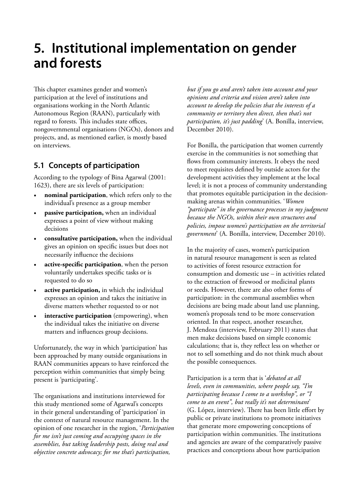# <span id="page-24-0"></span>**5. Institutional implementation on gender and forests**

This chapter examines gender and women's participation at the level of institutions and organisations working in the North Atlantic Autonomous Region (RAAN), particularly with regard to forests. This includes state offices, nongovernmental organisations (NGOs), donors and projects, and, as mentioned earlier, is mostly based on interviews.

# **5.1 Concepts of participation**

According to the typology of Bina Agarwal (2001: 1623), there are six levels of participation:

- **nominal participation**, which refers only to the individual's presence as a group member
- **passive participation,** when an individual expresses a point of view without making decisions
- **consultative participation,** when the individual gives an opinion on specific issues but does not necessarily influence the decisions
- **active-specific participation**, when the person voluntarily undertakes specific tasks or is requested to do so
- active participation, in which the individual expresses an opinion and takes the initiative in diverse matters whether requested to or not
- interactive participation (empowering), when the individual takes the initiative on diverse matters and influences group decisions.

Unfortunately, the way in which 'participation' has been approached by many outside organisations in RAAN communities appears to have reinforced the perception within communities that simply being present is 'participating'.

The organisations and institutions interviewed for this study mentioned some of Agarwal's concepts in their general understanding of 'participation' in the context of natural resource management. In the opinion of one researcher in the region, '*Participation for me isn't just coming and occupying spaces in the assemblies, but taking leadership posts, doing real and objective concrete advocacy; for me that's participation,* 

*but if you go and aren't taken into account and your opinions and criteria and vision aren't taken into account to develop the policies that the interests of a community or territory then direct, then that's not participation, it's just padding*' (A. Bonilla, interview, December 2010).

For Bonilla, the participation that women currently exercise in the communities is not something that flows from community interests. It obeys the need to meet requisites defined by outside actors for the development activities they implement at the local level; it is not a process of community understanding that promotes equitable participation in the decisionmaking arenas within communities. '*Women "participate" in the governance processes in my judgment because the NGOs, within their own structures and policies, impose women's participation on the territorial government*' (A. Bonilla, interview, December 2010).

In the majority of cases, women's participation in natural resource management is seen as related to activities of forest resource extraction for consumption and domestic use – in activities related to the extraction of firewood or medicinal plants or seeds. However, there are also other forms of participation: in the communal assemblies when decisions are being made about land use planning, women's proposals tend to be more conservation oriented. In that respect, another researcher, J. Mendoza (interview, February 2011) states that men make decisions based on simple economic calculations; that is, they reflect less on whether or not to sell something and do not think much about the possible consequences.

Participation is a term that is '*debated at all levels, even in communities, where people say, "I'm participating because I come to a workshop", or "I come to an event", but really it's not determinant*' (G. López, interview). There has been little effort by public or private institutions to promote initiatives that generate more empowering conceptions of participation within communities. The institutions and agencies are aware of the comparatively passive practices and conceptions about how participation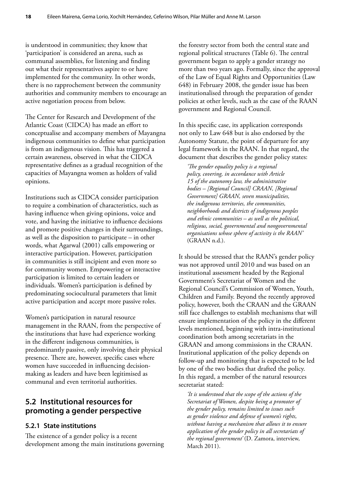<span id="page-25-0"></span>is understood in communities; they know that 'participation' is considered an arena, such as communal assemblies, for listening and finding out what their representatives aspire to or have implemented for the community. In other words, there is no rapprochement between the community authorities and community members to encourage an active negotiation process from below.

The Center for Research and Development of the Atlantic Coast (CIDCA) has made an effort to conceptualise and accompany members of Mayangna indigenous communities to define what participation is from an indigenous vision. This has triggered a certain awareness, observed in what the CIDCA representative defines as a gradual recognition of the capacities of Mayangna women as holders of valid opinions.

Institutions such as CIDCA consider participation to require a combination of characteristics, such as having influence when giving opinions, voice and vote, and having the initiative to influence decisions and promote positive changes in their surroundings, as well as the disposition to participate – in other words, what Agarwal (2001) calls empowering or interactive participation. However, participation in communities is still incipient and even more so for community women. Empowering or interactive participation is limited to certain leaders or individuals. Women's participation is defined by predominating sociocultural parameters that limit active participation and accept more passive roles.

Women's participation in natural resource management in the RAAN, from the perspective of the institutions that have had experience working in the different indigenous communities, is predominantly passive, only involving their physical presence. There are, however, specific cases where women have succeeded in influencing decisionmaking as leaders and have been legitimised as communal and even territorial authorities.

### **5.2 Institutional resources for promoting a gender perspective**

### **5.2.1 State institutions**

The existence of a gender policy is a recent development among the main institutions governing

the forestry sector from both the central state and regional political structures (Table 6). The central government began to apply a gender strategy no more than two years ago. Formally, since the approval of the Law of Equal Rights and Opportunities (Law 648) in February 2008, the gender issue has been institutionalised through the preparation of gender policies at other levels, such as the case of the RAAN government and Regional Council.

In this specific case, its application corresponds not only to Law 648 but is also endorsed by the Autonomy Statute, the point of departure for any legal framework in the RAAN. In that regard, the document that describes the gender policy states:

*'The gender equality policy is a regional policy, covering, in accordance with Article 15 of the autonomy law, the administrative bodies – [Regional Council] CRAAN, [Regional Government] GRAAN, seven municipalities, the indigenous territories, the communities, neighborhoods and districts of indigenous peoples and ethnic communities – as well as the political, religious, social, governmental and nongovernmental organisations whose sphere of activity is the RAAN'*  (GRAAN n.d.).

It should be stressed that the RAAN's gender policy was not approved until 2010 and was based on an institutional assessment headed by the Regional Government's Secretariat of Women and the Regional Council's Commission of Women, Youth, Children and Family. Beyond the recently approved policy, however, both the CRAAN and the GRAAN still face challenges to establish mechanisms that will ensure implementation of the policy in the different levels mentioned, beginning with intra-institutional coordination both among secretariats in the GRAAN and among commissions in the CRAAN. Institutional application of the policy depends on follow-up and monitoring that is expected to be led by one of the two bodies that drafted the policy. In this regard, a member of the natural resources secretariat stated:

*'It is understood that the scope of the actions of the Secretariat of Women, despite being a promoter of the gender policy, remains limited to issues such as gender violence and defense of women's rights, without having a mechanism that allows it to ensure application of the gender policy in all secretariats of the regional government'* (D. Zamora, interview, March 2011).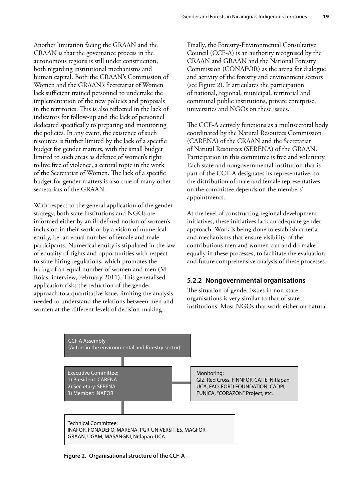<span id="page-26-0"></span>Another limitation facing the GRAAN and the CRAAN is that the governance process in the autonomous regions is still under construction, both regarding institutional mechanisms and human capital. Both the CRAAN's Commission of Women and the GRAAN's Secretariat of Women lack sufficient trained personnel to undertake the implementation of the new policies and proposals in the territories. This is also reflected in the lack of indicators for follow-up and the lack of personnel dedicated specifically to preparing and monitoring the policies. In any event, the existence of such resources is further limited by the lack of a specific budget for gender matters, with the small budget limited to such areas as defence of women's right to live free of violence, a central topic in the work of the Secretariat of Women. The lack of a specific budget for gender matters is also true of many other secretariats of the GRAAN.

With respect to the general application of the gender strategy, both state institutions and NGOs are informed either by an ill-defined notion of women's inclusion in their work or by a vision of numerical equity, i.e. an equal number of female and male participants. Numerical equity is stipulated in the law of equality of rights and opportunities with respect to state hiring regulations, which promotes the hiring of an equal number of women and men (M. Rojas, interview, February 2011). This generalised application risks the reduction of the gender approach to a quantitative issue, limiting the analysis needed to understand the relations between men and women at the different levels of decision-making.

Finally, the Forestry-Environmental Consultative Council (CCF-A) is an authority recognised by the CRAAN and GRAAN and the National Forestry Commission (CONAFOR) as the arena for dialogue and activity of the forestry and environment sectors (see Figure 2). It articulates the participation of national, regional, municipal, territorial and communal public institutions, private enterprise, universities and NGOs on these issues.

The CCF-A actively functions as a multisectoral body coordinated by the Natural Resources Commission (CARENA) of the CRAAN and the Secretariat of Natural Resources (SERENA) of the GRAAN. Participation in this committee is free and voluntary. Each state and nongovernmental institution that is part of the CCF-A designates its representative, so the distribution of male and female representatives on the committee depends on the members' appointments.

At the level of constructing regional development initiatives, these initiatives lack an adequate gender approach. Work is being done to establish criteria and mechanisms that ensure visibility of the contributions men and women can and do make equally in these processes, to facilitate the evaluation and future comprehensive analysis of these processes.

#### **5.2.2 Nongovernmental organisations**

The situation of gender issues in non-state organisations is very similar to that of state institutions. Most NGOs that work either on natural



**Figure 2. Organisational structure of the CCF-A**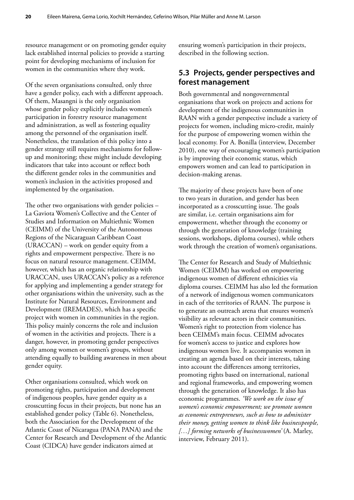<span id="page-27-0"></span>resource management or on promoting gender equity lack established internal policies to provide a starting point for developing mechanisms of inclusion for women in the communities where they work.

Of the seven organisations consulted, only three have a gender policy, each with a different approach. Of them, Masangni is the only organisation whose gender policy explicitly includes women's participation in forestry resource management and administration, as well as fostering equality among the personnel of the organisation itself. Nonetheless, the translation of this policy into a gender strategy still requires mechanisms for followup and monitoring; these might include developing indicators that take into account or reflect both the different gender roles in the communities and women's inclusion in the activities proposed and implemented by the organisation.

The other two organisations with gender policies – La Gaviota Women's Collective and the Center of Studies and Information on Multiethnic Women (CEIMM) of the University of the Autonomous Regions of the Nicaraguan Caribbean Coast (URACCAN) – work on gender equity from a rights and empowerment perspective. There is no focus on natural resource management. CEIMM, however, which has an organic relationship with URACCAN, uses URACCAN's policy as a reference for applying and implementing a gender strategy for other organisations within the university, such as the Institute for Natural Resources, Environment and Development (IREMADES), which has a specific project with women in communities in the region. This policy mainly concerns the role and inclusion of women in the activities and projects. There is a danger, however, in promoting gender perspectives only among women or women's groups, without attending equally to building awareness in men about gender equity.

Other organisations consulted, which work on promoting rights, participation and development of indigenous peoples, have gender equity as a crosscutting focus in their projects, but none has an established gender policy (Table 6). Nonetheless, both the Association for the Development of the Atlantic Coast of Nicaragua (PANA PANA) and the Center for Research and Development of the Atlantic Coast (CIDCA) have gender indicators aimed at

ensuring women's participation in their projects, described in the following section.

### **5.3 Projects, gender perspectives and forest management**

Both governmental and nongovernmental organisations that work on projects and actions for development of the indigenous communities in RAAN with a gender perspective include a variety of projects for women, including micro-credit, mainly for the purpose of empowering women within the local economy. For A. Bonilla (interview, December 2010), one way of encouraging women's participation is by improving their economic status, which empowers women and can lead to participation in decision-making arenas.

The majority of these projects have been of one to two years in duration, and gender has been incorporated as a crosscutting issue. The goals are similar, i.e. certain organisations aim for empowerment, whether through the economy or through the generation of knowledge (training sessions, workshops, diploma courses), while others work through the creation of women's organisations.

The Center for Research and Study of Multiethnic Women (CEIMM) has worked on empowering indigenous women of different ethnicities via diploma courses. CEIMM has also led the formation of a network of indigenous women communicators in each of the territories of RAAN. The purpose is to generate an outreach arena that ensures women's visibility as relevant actors in their communities. Women's right to protection from violence has been CEIMM's main focus. CEIMM advocates for women's access to justice and explores how indigenous women live. It accompanies women in creating an agenda based on their interests, taking into account the differences among territories, promoting rights based on international, national and regional frameworks, and empowering women through the generation of knowledge. It also has economic programmes. *'We work on the issue of women's economic empowerment; we promote women as economic entrepreneurs, such as how to administer their money, getting women to think like businesspeople, […] forming networks of businesswomen'* (A. Marley, interview, February 2011).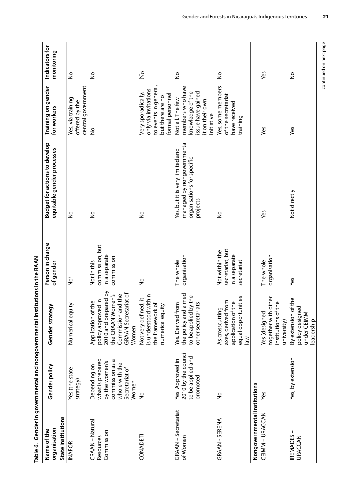<span id="page-28-0"></span>

|                                            |                                                                                                                    | Table 6. Gender in governmental and nongovernmental institutions in the RAAN                                                                                      |                                                                    |                                                                                                         |                                                                                                                |                              |
|--------------------------------------------|--------------------------------------------------------------------------------------------------------------------|-------------------------------------------------------------------------------------------------------------------------------------------------------------------|--------------------------------------------------------------------|---------------------------------------------------------------------------------------------------------|----------------------------------------------------------------------------------------------------------------|------------------------------|
| organisation<br>Name of the                | Gender policy                                                                                                      | Gender strategy                                                                                                                                                   | Person in charge<br>of gender                                      | <b>Budget for actions to develop</b><br>equitable gender processes                                      | Training on gender<br>for workers                                                                              | Indicators for<br>monitoring |
| State institutions                         |                                                                                                                    |                                                                                                                                                                   |                                                                    |                                                                                                         |                                                                                                                |                              |
| <b>INAFOR</b>                              | Yes (the state<br>strategy)                                                                                        | Numerical equity                                                                                                                                                  | °°<br>Z                                                            | $\frac{1}{2}$                                                                                           | central government<br>Yes, via training<br>offered by the                                                      | $\frac{1}{2}$                |
| CRAAN - Natural<br>Commission<br>Resources | what is prepared<br>commission as a<br>by the women's<br>whole with the<br>Depending on<br>Secretariat of<br>Women | red by<br>iat of<br>the CRAAN Women's<br>Commission and the<br>policy approved in<br>φ<br>Application of th<br>2010 and prepar<br><b>GRAAN Secretari</b><br>Women | commission, but<br>in a separate<br>commission<br>Not in this      | $\frac{1}{2}$                                                                                           | $\frac{1}{2}$                                                                                                  | $\frac{1}{2}$                |
| CONADETI                                   | $\frac{1}{2}$                                                                                                      | Not very defined; it<br>is understood within<br>the framework of<br>numerical equity                                                                              | $\frac{1}{2}$                                                      | $\frac{1}{2}$                                                                                           | to events in general,<br>only via invitations<br>Very sporadically,<br>formal personnel<br>but there are no    | $\mathsf{S}^{\mathsf{o}}$    |
| <b>GRAAN</b> – Secretariat<br>of Women     | 2010 by the council<br>to be applied and<br>Yes. Approved in<br>promoted                                           | the policy and aimed<br>to be applied by the<br>.<br>با<br>Yes. Derived from<br>other secretariat                                                                 | organisation<br>The whole                                          | managed by nongovernmental<br>Yes, but it is very limited and<br>organisations for specific<br>projects | members who have<br>knowledge of the<br>issue have gained<br>Not all. The few<br>it on their own<br>initiative | å                            |
| GRAAN - SERENA                             | $\frac{1}{2}$                                                                                                      | equal opportunities<br>axes, derived from<br>application of the<br>As crosscutting<br>$\frac{8}{10}$                                                              | secretariat, but<br>Not within the<br>in a separate<br>secretariat | $\frac{1}{2}$                                                                                           | Yes, some members<br>of the secretariat<br>have received<br>training                                           | ş                            |
| Nongovernmental institutions               |                                                                                                                    |                                                                                                                                                                   |                                                                    |                                                                                                         |                                                                                                                |                              |
| CEIMM - URACCAN                            | Šą                                                                                                                 | together with other<br>$\mathbbmss{D}$<br>institutions of th<br>Yes (designed<br>university)                                                                      | organisation<br>The whole                                          | Yes                                                                                                     | yes                                                                                                            | Yes                          |
| <b>IREMADES</b><br><b>URACCAN</b>          | Yes, by extension                                                                                                  | By extension of the<br>policy designed<br>under CEIMM<br>eadership                                                                                                | Yes                                                                | Not directly                                                                                            | Yes                                                                                                            | ş                            |

continued on next page

continued on next page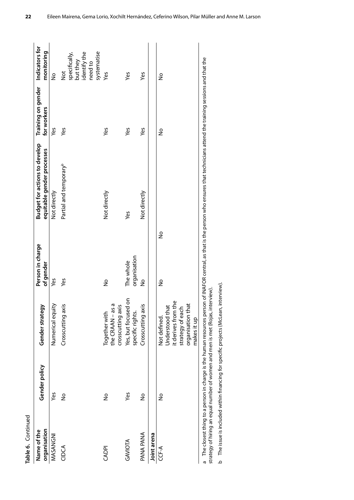| Table 6. Continued          |               |                                                                                                                |                               |                                                                                                                                                                                       |                                   |                                                                                      |
|-----------------------------|---------------|----------------------------------------------------------------------------------------------------------------|-------------------------------|---------------------------------------------------------------------------------------------------------------------------------------------------------------------------------------|-----------------------------------|--------------------------------------------------------------------------------------|
| organisation<br>Name of the | Gender policy | Gender strategy                                                                                                | Person in charge<br>of gender | <b>Budget for actions to develop</b><br>equitable gender processes                                                                                                                    | Training on gender<br>for workers | Indicators for<br>monitoring                                                         |
| MASANGNI                    | Yes           | Numerical equity                                                                                               | Yes                           | Not directly                                                                                                                                                                          | Yes                               | $\frac{1}{2}$                                                                        |
| CIDCA                       | $\frac{1}{2}$ | Crosscutting axis                                                                                              | Yes                           | Partial and temporary <sup>b</sup>                                                                                                                                                    | Yes                               | systematise<br>identify the<br>specifically,<br>but they<br>need to<br>$\frac{1}{2}$ |
| CADPI                       | $\frac{1}{2}$ | the CRAAN-as a<br>crosscutting axis<br>Together with                                                           | Ş                             | Not directly                                                                                                                                                                          | Yes                               | Yes                                                                                  |
| GAVIOTA                     | Yes           | $\tilde{\mathbf{e}}$<br>Yes, but focused<br>specific rights.                                                   | organisation<br>The whole     | Yes                                                                                                                                                                                   | Yes                               | yes                                                                                  |
| PANA PANA                   | $\frac{1}{2}$ | Crosscutting axis                                                                                              | $\frac{1}{2}$                 | Not directly                                                                                                                                                                          | yes                               | Yes                                                                                  |
| Joint arena                 |               |                                                                                                                |                               |                                                                                                                                                                                       |                                   |                                                                                      |
| CCF-A                       | $\frac{1}{2}$ | it derives from the<br>organisation that<br>Understood that<br>strategy of each<br>Not defined.<br>makes it up | $\frac{1}{2}$<br>Ş            |                                                                                                                                                                                       | å                                 | Ş                                                                                    |
| ო<br>თ                      |               |                                                                                                                |                               | The closest thing to a person in charge is the human resources person of INAFOR central, as that is the person who ensures that technicians attend the training sessions and that the |                                   |                                                                                      |

strategy of hiring an equal number of women and men is met (Rojas, interview). strategy of hiring an equal number of women and men is met (Rojas, interview).

b The issue is included within financing for specific projects (McLean, interview). The issue is included within financing for specific projects (McLean, interview).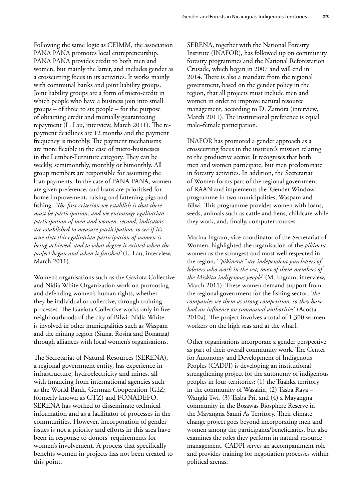Following the same logic as CEIMM, the association PANA PANA promotes local entrepreneurship. PANA PANA provides credit to both men and women, but mainly the latter, and includes gender as a crosscutting focus in its activities. It works mainly with communal banks and joint liability groups. Joint liability groups are a form of micro-credit in which people who have a business join into small groups – of three to six people – for the purpose of obtaining credit and mutually guaranteeing repayment (L. Lau, interview, March 2011). The repayment deadlines are 12 months and the payment frequency is monthly. The payment mechanisms are more flexible in the case of micro-businesses in the Lumber-Furniture category. They can be weekly, semimonthly, monthly or bimonthly. All group members are responsible for assuming the loan payments. In the case of PANA PANA, women are given preference, and loans are prioritised for home improvement, raising and fattening pigs and fishing. *'The first criterion we establish is that there must be participation, and we encourage egalitarian participation of men and women; second, indicators are established to measure participation, to see if it's true that this egalitarian participation of women is being achieved, and to what degree it existed when the project began and when it finished'* (L. Lau, interview, March 2011).

Women's organisations such as the Gaviota Collective and Nidia White Organization work on promoting and defending women's human rights, whether they be individual or collective, through training processes. The Gaviota Collective works only in five neighbourhoods of the city of Bilwi. Nidia White is involved in other municipalities such as Waspam and the mining region (Siuna, Rosita and Bonanza) through alliances with local women's organisations.

The Secretariat of Natural Resources (SERENA), a regional government entity, has experience in infrastructure, hydroelectricity and mines, all with financing from international agencies such as the World Bank, German Cooperation (GIZ; formerly known as GTZ) and FONADEFO. SERENA has worked to disseminate technical information and as a facilitator of processes in the communities. However, incorporation of gender issues is not a priority and efforts in this area have been in response to donors' requirements for women's involvement. A process that specifically benefits women in projects has not been created to this point.

SERENA, together with the National Forestry Institute (INAFOR), has followed up on community forestry programmes and the National Reforestation Crusade, which began in 2007 and will end in 2014. There is also a mandate from the regional government, based on the gender policy in the region, that all projects must include men and women in order to improve natural resource management, according to D. Zamora (interview, March 2011). The institutional preference is equal male–female participation.

INAFOR has promoted a gender approach as a crosscutting focus in the institute's mission relating to the productive sector. It recognises that both men and women participate, but men predominate in forestry activities. In addition, the Secretariat of Women forms part of the regional government of RAAN and implements the 'Gender Window' programme in two municipalities, Waspam and Bilwi. This programme provides women with loans, seeds, animals such as cattle and hens, childcare while they work, and, finally, computer courses.

Marina Ingram, vice coordinator of the Secretariat of Women, highlighted the organisation of the *pikinera* women as the strongest and most well respected in the region; '*"pikineras" are independent purchasers of lobsters who work in the sea, most of them members of the Miskitu indigenous people*' (M. Ingram, interview, March 2011). These women demand support from the regional government for the fishing sector; '*the companies see them as strong competition, so they have had an influence on communal authorities*' (Acosta 2010a). The project involves a total of 1,300 women workers on the high seas and at the wharf.

Other organisations incorporate a gender perspective as part of their overall community work. The Center for Autonomy and Development of Indigenous Peoples (CADPI) is developing an institutional strengthening project for the autonomy of indigenous peoples in four territories: (1) the Tuahka territory in the community of Wasakin, (2) Tasba Raya – Wangki Twi, (3) Tasba Pri, and (4) a Mayangna community in the Bosawas Biosphere Reserve in the Mayangna Sauni As Territory. Their climate change project goes beyond incorporating men and women among the participants/beneficiaries, but also examines the roles they perform in natural resource management. CADPI serves an accompaniment role and provides training for negotiation processes within political arenas.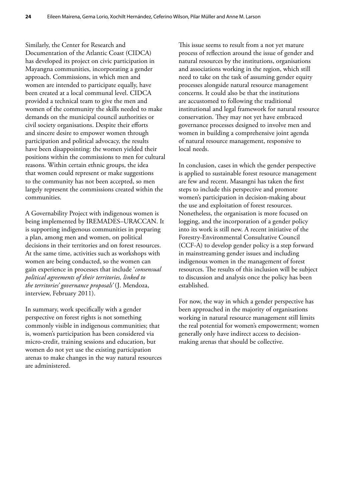Similarly, the Center for Research and Documentation of the Atlantic Coast (CIDCA) has developed its project on civic participation in Mayangna communities, incorporating a gender approach. Commissions, in which men and women are intended to participate equally, have been created at a local communal level. CIDCA provided a technical team to give the men and women of the community the skills needed to make demands on the municipal council authorities or civil society organisations. Despite their efforts and sincere desire to empower women through participation and political advocacy, the results have been disappointing: the women yielded their positions within the commissions to men for cultural reasons. Within certain ethnic groups, the idea that women could represent or make suggestions to the community has not been accepted, so men largely represent the commissions created within the communities.

A Governability Project with indigenous women is being implemented by IREMADES–URACCAN. It is supporting indigenous communities in preparing a plan, among men and women, on political decisions in their territories and on forest resources. At the same time, activities such as workshops with women are being conducted, so the women can gain experience in processes that include '*consensual political agreements of their territories, linked to the territories' governance proposals'* (J. Mendoza, interview, February 2011).

In summary, work specifically with a gender perspective on forest rights is not something commonly visible in indigenous communities; that is, women's participation has been considered via micro-credit, training sessions and education, but women do not yet use the existing participation arenas to make changes in the way natural resources are administered.

This issue seems to result from a not yet mature process of reflection around the issue of gender and natural resources by the institutions, organisations and associations working in the region, which still need to take on the task of assuming gender equity processes alongside natural resource management concerns. It could also be that the institutions are accustomed to following the traditional institutional and legal framework for natural resource conservation. They may not yet have embraced governance processes designed to involve men and women in building a comprehensive joint agenda of natural resource management, responsive to local needs.

In conclusion, cases in which the gender perspective is applied to sustainable forest resource management are few and recent. Masangni has taken the first steps to include this perspective and promote women's participation in decision-making about the use and exploitation of forest resources. Nonetheless, the organisation is more focused on logging, and the incorporation of a gender policy into its work is still new. A recent initiative of the Forestry-Environmental Consultative Council (CCF-A) to develop gender policy is a step forward in mainstreaming gender issues and including indigenous women in the management of forest resources. The results of this inclusion will be subject to discussion and analysis once the policy has been established.

For now, the way in which a gender perspective has been approached in the majority of organisations working in natural resource management still limits the real potential for women's empowerment; women generally only have indirect access to decisionmaking arenas that should be collective.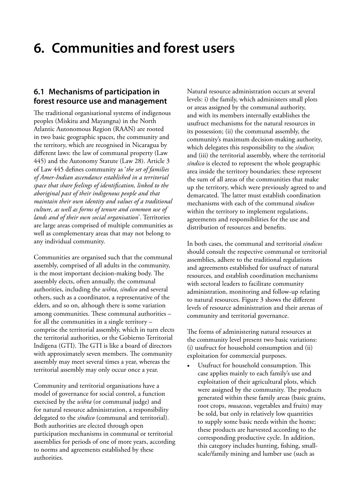# <span id="page-32-0"></span>**6. Communities and forest users**

### **6.1 Mechanisms of participation in forest resource use and management**

The traditional organisational systems of indigenous peoples (Miskitu and Mayangna) in the North Atlantic Autonomous Region (RAAN) are rooted in two basic geographic spaces, the community and the territory, which are recognised in Nicaragua by different laws: the law of communal property (Law 445) and the Autonomy Statute (Law 28). Article 3 of Law 445 defines community as '*the set of families of Amer-Indian ascendance established in a territorial space that share feelings of identification, linked to the aboriginal past of their indigenous people and that maintain their own identity and values of a traditional culture, as well as forms of tenure and common use of lands and of their own social organisation*'. Territories are large areas comprised of multiple communities as well as complementary areas that may not belong to any individual community.

Communities are organised such that the communal assembly, comprised of all adults in the community, is the most important decision-making body. The assembly elects, often annually, the communal authorities, including the *wihta*, *síndico* and several others, such as a coordinator, a representative of the elders, and so on, although there is some variation among communities. These communal authorities – for all the communities in a single territory – comprise the territorial assembly, which in turn elects the territorial authorities, or the Gobierno Territorial Indígena (GTI). The GTI is like a board of directors with approximately seven members. The community assembly may meet several times a year, whereas the territorial assembly may only occur once a year.

Community and territorial organisations have a model of governance for social control, a function exercised by the *wihta* (or communal judge) and for natural resource administration, a responsibility delegated to the *síndico* (communal and territorial). Both authorities are elected through open participation mechanisms in communal or territorial assemblies for periods of one of more years, according to norms and agreements established by these authorities.

Natural resource administration occurs at several levels: i) the family, which administers small plots or areas assigned by the communal authority, and with its members internally establishes the usufruct mechanisms for the natural resources in its possession; (ii) the communal assembly, the community's maximum decision-making authority, which delegates this responsibility to the *síndico*; and (iii) the territorial assembly, where the territorial *síndico* is elected to represent the whole geographic area inside the territory boundaries; these represent the sum of all areas of the communities that make up the territory, which were previously agreed to and demarcated. The latter must establish coordination mechanisms with each of the communal *síndicos* within the territory to implement regulations, agreements and responsibilities for the use and distribution of resources and benefits.

In both cases, the communal and territorial *síndicos* should consult the respective communal or territorial assemblies, adhere to the traditional regulations and agreements established for usufruct of natural resources, and establish coordination mechanisms with sectoral leaders to facilitate community administration, monitoring and follow-up relating to natural resources. Figure 3 shows the different levels of resource administration and their arenas of community and territorial governance.

The forms of administering natural resources at the community level present two basic variations: (i) usufruct for household consumption and (ii) exploitation for commercial purposes.

Usufruct for household consumption. This case applies mainly to each family's use and exploitation of their agricultural plots, which were assigned by the community. The products generated within these family areas (basic grains, root crops, *musaceas*, vegetables and fruits) may be sold, but only in relatively low quantities to supply some basic needs within the home; these products are harvested according to the corresponding productive cycle. In addition, this category includes hunting, fishing, smallscale/family mining and lumber use (such as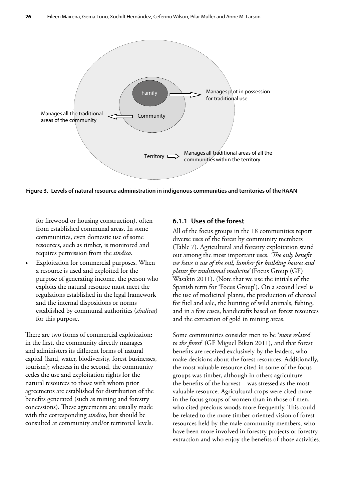<span id="page-33-0"></span>

**Figure 3. Levels of natural resource administration in indigenous communities and territories of the RAAN**

for firewood or housing construction), often from established communal areas. In some communities, even domestic use of some resources, such as timber, is monitored and requires permission from the *síndico*.

Exploitation for commercial purposes. When a resource is used and exploited for the purpose of generating income, the person who exploits the natural resource must meet the regulations established in the legal framework and the internal dispositions or norms established by communal authorities (*síndicos*) for this purpose.

There are two forms of commercial exploitation: in the first, the community directly manages and administers its different forms of natural capital (land, water, biodiversity, forest businesses, tourism); whereas in the second, the community cedes the use and exploitation rights for the natural resources to those with whom prior agreements are established for distribution of the benefits generated (such as mining and forestry concessions). These agreements are usually made with the corresponding *síndico*, but should be consulted at community and/or territorial levels.

#### **6.1.1 Uses of the forest**

All of the focus groups in the 18 communities report diverse uses of the forest by community members (Table 7). Agricultural and forestry exploitation stand out among the most important uses. *'The only benefit we have is use of the soil, lumber for building houses and plants for traditional medicine'* (Focus Group (GF) Wasakin 2011). (Note that we use the initials of the Spanish term for 'Focus Group'). On a second level is the use of medicinal plants, the production of charcoal for fuel and sale, the hunting of wild animals, fishing, and in a few cases, handicrafts based on forest resources and the extraction of gold in mining areas.

Some communities consider men to be '*more related to the forest*' (GF Miguel Bikan 2011), and that forest benefits are received exclusively by the leaders, who make decisions about the forest resources. Additionally, the most valuable resource cited in some of the focus groups was timber, although in others agriculture – the benefits of the harvest – was stressed as the most valuable resource. Agricultural crops were cited more in the focus groups of women than in those of men, who cited precious woods more frequently. This could be related to the more timber-oriented vision of forest resources held by the male community members, who have been more involved in forestry projects or forestry extraction and who enjoy the benefits of those activities.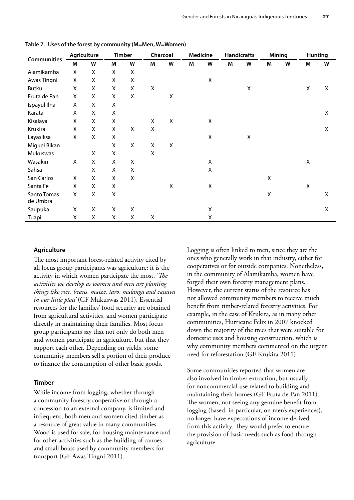|                         |   | Agriculture |                    | <b>Timber</b>      |   | Charcoal    |   | Medicine           |   | <b>Handicrafts</b> |   | <b>Mining</b> |   | <b>Hunting</b> |
|-------------------------|---|-------------|--------------------|--------------------|---|-------------|---|--------------------|---|--------------------|---|---------------|---|----------------|
| <b>Communities</b>      | M | W           | M                  | W                  | M | W           | M | W                  | M | W                  | M | W             | M | W              |
| Alamikamba              | Χ | X           | X                  | $\pmb{\mathsf{X}}$ |   |             |   |                    |   |                    |   |               |   |                |
| Awas Tingni             | X | X           | X                  | Χ                  |   |             |   | X                  |   |                    |   |               |   |                |
| Butku                   | X | X           | X                  | X                  | X |             |   |                    |   | $\pmb{\mathsf{X}}$ |   |               | X | X              |
| Fruta de Pan            | X | X           | X                  | $\pmb{\mathsf{X}}$ |   | X           |   |                    |   |                    |   |               |   |                |
| Ispayul Ilna            | X | X           | X                  |                    |   |             |   |                    |   |                    |   |               |   |                |
| Karata                  | X | X           | X                  |                    |   |             |   |                    |   |                    |   |               |   | X              |
| Kisalaya                | X | X           | X                  |                    | X | $\mathsf X$ |   | X                  |   |                    |   |               |   |                |
| Krukira                 | X | X           | X                  | X                  | X |             |   |                    |   |                    |   |               |   | X              |
| Layasiksa               | X | X           | $\pmb{\mathsf{X}}$ |                    |   |             |   | $\pmb{\mathsf{X}}$ |   | $\pmb{\mathsf{X}}$ |   |               |   |                |
| Miguel Bikan            |   |             | X                  | X                  | X | X           |   |                    |   |                    |   |               |   |                |
| Mukuswas                |   | X           | X                  |                    | X |             |   |                    |   |                    |   |               |   |                |
| Wasakin                 | X | X           | X                  | $\pmb{\mathsf{X}}$ |   |             |   | X                  |   |                    |   |               | X |                |
| Sahsa                   |   | X           | X                  | $\pmb{\mathsf{X}}$ |   |             |   | X                  |   |                    |   |               |   |                |
| San Carlos              | X | X           | X                  | $\pmb{\mathsf{X}}$ |   |             |   |                    |   |                    | X |               |   |                |
| Santa Fe                | X | X           | X                  |                    |   | X           |   | X                  |   |                    |   |               | X |                |
| Santo Tomas<br>de Umbra | X | X           | X                  |                    |   |             |   |                    |   |                    | X |               |   | X              |
| Saupuka                 | X | X           | X                  | $\pmb{\mathsf{X}}$ |   |             |   | X                  |   |                    |   |               |   | X              |
| Tuapi                   | X | Χ           | X                  | Χ                  | X |             |   | X                  |   |                    |   |               |   |                |

<span id="page-34-0"></span>**Table 7. Uses of the forest by community (M=Men, W=Women)**

#### **Agriculture**

The most important forest-related activity cited by all focus group participants was agriculture; it is the activity in which women participate the most. '*The activities we develop as women and men are planting things like rice, beans, maize, taro, malanga and cassava in our little plots'* (GF Mukuswas 2011). Essential resources for the families' food security are obtained from agricultural activities, and women participate directly in maintaining their families. Most focus group participants say that not only do both men and women participate in agriculture, but that they support each other. Depending on yields, some community members sell a portion of their produce to finance the consumption of other basic goods.

#### **Timber**

While income from logging, whether through a community forestry cooperative or through a concession to an external company, is limited and infrequent, both men and women cited timber as a resource of great value in many communities. Wood is used for sale, for housing maintenance and for other activities such as the building of canoes and small boats used by community members for transport (GF Awas Tingni 2011).

Logging is often linked to men, since they are the ones who generally work in that industry, either for cooperatives or for outside companies. Nonetheless, in the community of Alamikamba, women have forged their own forestry management plans. However, the current status of the resource has not allowed community members to receive much benefit from timber-related forestry activities. For example, in the case of Krukira, as in many other communities, Hurricane Felix in 2007 knocked down the majority of the trees that were suitable for domestic uses and housing construction, which is why community members commented on the urgent need for reforestation (GF Krukira 2011).

Some communities reported that women are also involved in timber extraction, but usually for noncommercial use related to building and maintaining their homes (GF Fruta de Pan 2011). The women, not seeing any genuine benefit from logging (based, in particular, on men's experiences), no longer have expectations of income derived from this activity. They would prefer to ensure the provision of basic needs such as food through agriculture.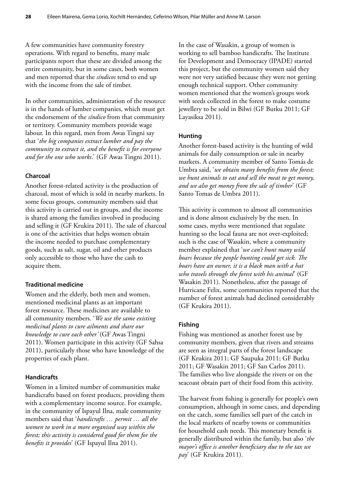A few communities have community forestry operations. With regard to benefits, many male participants report that these are divided among the entire community, but in some cases, both women and men reported that the *síndicos* tend to end up with the income from the sale of timber.

In other communities, administration of the resource is in the hands of lumber companies, which must get the endorsement of the *síndico* from that community or territory. Community members provide wage labour. In this regard, men from Awas Tingni say that '*the big companies extract lumber and pay the community to extract it, and the benefit is for everyone and for the one who works*.' (GF Awas Tingni 2011).

#### **Charcoal**

Another forest-related activity is the production of charcoal, most of which is sold in nearby markets. In some focus groups, community members said that this activity is carried out in groups, and the income is shared among the families involved in producing and selling it (GF Krukira 2011). The sale of charcoal is one of the activities that helps women obtain the income needed to purchase complementary goods, such as salt, sugar, oil and other products only accessible to those who have the cash to acquire them.

#### **Traditional medicine**

Women and the elderly, both men and women, mentioned medicinal plants as an important forest resource. These medicines are available to all community members. '*We use the same existing medicinal plants to cure ailments and share our knowledge to cure each other'* (GF Awas Tingni 2011). Women participate in this activity (GF Sahsa 2011), particularly those who have knowledge of the properties of each plant.

#### **Handicrafts**

Women in a limited number of communities make handicrafts based on forest products, providing them with a complementary income source. For example, in the community of Ispayul Ilna, male community members said that '*handicrafts … permit … all the women to work in a more organised way within the forest; this activity is considered good for them for the benefits it provides*' (GF Ispayul Ilna 2011).

In the case of Wasakin, a group of women is working to sell bamboo handicrafts. The Institute for Development and Democracy (IPADE) started this project, but the community women said they were not very satisfied because they were not getting enough technical support. Other community women mentioned that the women's groups work with seeds collected in the forest to make costume jewellery to be sold in Bilwi (GF Butku 2011; GF Layasiksa 2011).

#### **Hunting**

Another forest-based activity is the hunting of wild animals for daily consumption or sale in nearby markets. A community member of Santo Tomás de Umbra said, '*we obtain many benefits from the forest; we hunt animals to eat and sell the meat to get money, and we also get money from the sale of timber*' (GF Santo Tomas de Umbra 2011).

This activity is common to almost all communities and is done almost exclusively by the men. In some cases, myths were mentioned that regulate hunting so the local fauna are not over-exploited; such is the case of Wasakin, where a community member explained that '*we can't hunt many wild boars because the people hunting could get sick. The boars have an owner, it is a black man with a hat who travels through the forest with his animal*' (GF Wasakin 2011). Nonetheless, after the passage of Hurricane Felix, some communities reported that the number of forest animals had declined considerably (GF Krukira 2011).

#### **Fishing**

Fishing was mentioned as another forest use by community members, given that rivers and streams are seen as integral parts of the forest landscape (GF Krukira 2011; GF Saupuka 2011; GF Butku 2011; GF Wasakin 2011; GF San Carlos 2011). The families who live alongside the rivers or on the seacoast obtain part of their food from this activity.

The harvest from fishing is generally for people's own consumption, although in some cases, and depending on the catch, some families sell part of the catch in the local markets of nearby towns or communities for household cash needs. This monetary benefit is generally distributed within the family, but also '*the mayor's office is another beneficiary due to the tax we pay*' (GF Krukira 2011).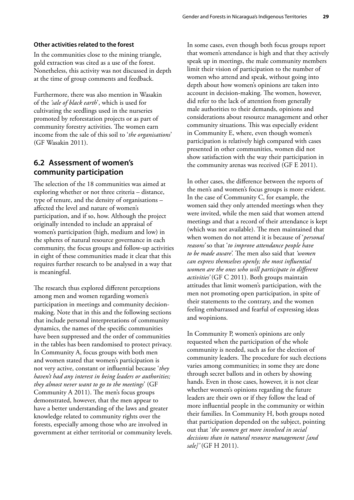#### <span id="page-36-0"></span>**Other activities related to the forest**

In the communities close to the mining triangle, gold extraction was cited as a use of the forest. Nonetheless, this activity was not discussed in depth at the time of group comments and feedback.

Furthermore, there was also mention in Wasakin of the *'sale of black earth*', which is used for cultivating the seedlings used in the nurseries promoted by reforestation projects or as part of community forestry activities. The women earn income from the sale of this soil to '*the organisations*' (GF Wasakin 2011).

### **6.2 Assessment of women's community participation**

The selection of the 18 communities was aimed at exploring whether or not three criteria – distance, type of tenure, and the density of organisations – affected the level and nature of women's participation, and if so, how. Although the project originally intended to include an appraisal of women's participation (high, medium and low) in the spheres of natural resource governance in each community, the focus groups and follow-up activities in eight of these communities made it clear that this requires further research to be analysed in a way that is meaningful.

The research thus explored different perceptions among men and women regarding women's participation in meetings and community decisionmaking. Note that in this and the following sections that include personal interpretations of community dynamics, the names of the specific communities have been suppressed and the order of communities in the tables has been randomised to protect privacy. In Community A, focus groups with both men and women stated that women's participation is not very active, constant or influential because '*they haven't had any interest in being leaders or authorities; they almost never want to go to the meetings*' (GF Community A 2011). The men's focus groups demonstrated, however, that the men appear to have a better understanding of the laws and greater knowledge related to community rights over the forests, especially among those who are involved in government at either territorial or community levels. In some cases, even though both focus groups report that women's attendance is high and that they actively speak up in meetings, the male community members limit their vision of participation to the number of women who attend and speak, without going into depth about how women's opinions are taken into account in decision-making. The women, however, did refer to the lack of attention from generally male authorities to their demands, opinions and considerations about resource management and other community situations. This was especially evident in Community E, where, even though women's participation is relatively high compared with cases presented in other communities, women did not show satisfaction with the way their participation in the community arenas was received (GF E 2011).

In other cases, the difference between the reports of the men's and women's focus groups is more evident. In the case of Community C, for example, the women said they only attended meetings when they were invited, while the men said that women attend meetings and that a record of their attendance is kept (which was not available). The men maintained that when women do not attend it is because of '*personal reasons'* so that '*to improve attendance people have to be made aware'.* The men also said that *'women can express themselves openly; the most influential women are the ones who will participate in different activities'* (GF C 2011). Both groups maintain attitudes that limit women's participation, with the men not promoting open participation, in spite of their statements to the contrary, and the women feeling embarrassed and fearful of expressing ideas and wopinions.

In Community P, women's opinions are only requested when the participation of the whole community is needed, such as for the election of community leaders. The procedure for such elections varies among communities; in some they are done through secret ballots and in others by showing hands. Even in those cases, however, it is not clear whether women's opinions regarding the future leaders are their own or if they follow the lead of more influential people in the community or within their families. In Community H, both groups noted that participation depended on the subject, pointing out that '*the women get more involved in social decisions than in natural resource management [and sale]'* (GF H 2011).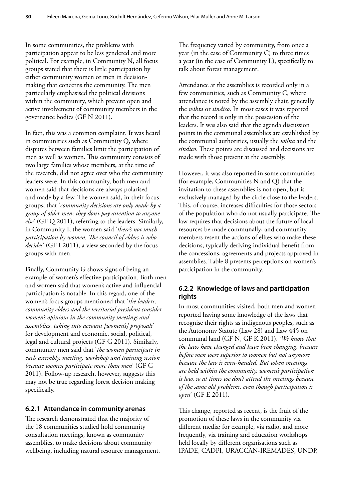In some communities, the problems with participation appear to be less gendered and more political. For example, in Community N, all focus groups stated that there is little participation by either community women or men in decisionmaking that concerns the community. The men particularly emphasised the political divisions within the community, which prevent open and active involvement of community members in the governance bodies (GF N 2011).

In fact, this was a common complaint. It was heard in communities such as Community Q, where disputes between families limit the participation of men as well as women. This community consists of two large families whose members, at the time of the research, did not agree over who the community leaders were. In this community, both men and women said that decisions are always polarised and made by a few. The women said, in their focus groups, that '*community decisions are only made by a group of older men; they don't pay attention to anyone else*' (GF Q 2011), referring to the leaders. Similarly, in Community I, the women said '*there's not much participation by women. The council of elders is who decides*' (GF I 2011), a view seconded by the focus groups with men.

Finally, Community G shows signs of being an example of women's effective participation. Both men and women said that women's active and influential participation is notable. In this regard, one of the women's focus groups mentioned that '*the leaders, community elders and the territorial president consider women's opinions in the community meetings and assemblies, taking into account [women's] proposals'*  for development and economic, social, political, legal and cultural projects (GF G 2011). Similarly, community men said that '*the women participate in each assembly, meeting, workshop and training session because women participate more than men*' (GF G 2011). Follow-up research, however, suggests this may not be true regarding forest decision making specifically.

#### **6.2.1 Attendance in community arenas**

The research demonstrated that the majority of the 18 communities studied hold community consultation meetings, known as community assemblies, to make decisions about community wellbeing, including natural resource management.

The frequency varied by community, from once a year (in the case of Community C) to three times a year (in the case of Community L), specifically to talk about forest management.

Attendance at the assemblies is recorded only in a few communities, such as Community C, where attendance is noted by the assembly chair, generally the *wihta* or *síndico*. In most cases it was reported that the record is only in the possession of the leaders. It was also said that the agenda discussion points in the communal assemblies are established by the communal authorities, usually the *wihta* and the *síndico*. These points are discussed and decisions are made with those present at the assembly.

However, it was also reported in some communities (for example, Communities N and Q) that the invitation to these assemblies is not open, but is exclusively managed by the circle close to the leaders. This, of course, increases difficulties for those sectors of the population who do not usually participate. The law requires that decisions about the future of local resources be made communally; and community members resent the actions of elites who make these decisions, typically deriving individual benefit from the concessions, agreements and projects approved in assemblies. Table 8 presents perceptions on women's participation in the community.

### **6.2.2 Knowledge of laws and participation rights**

In most communities visited, both men and women reported having some knowledge of the laws that recognise their rights as indigenous peoples, such as the Autonomy Statute (Law 28) and Law 445 on communal land (GF N, GF K 2011). '*We know that the laws have changed and have been changing, because before men were superior to women but not anymore because the law is even-handed. But when meetings are held within the community, women's participation is low, so at times we don't attend the meetings because of the same old problems, even though participation is open*' (GF E 2011).

This change, reported as recent, is the fruit of the promotion of these laws in the community via different media; for example, via radio, and more frequently, via training and education workshops held locally by different organisations such as IPADE, CADPI, URACCAN-IREMADES, UNDP,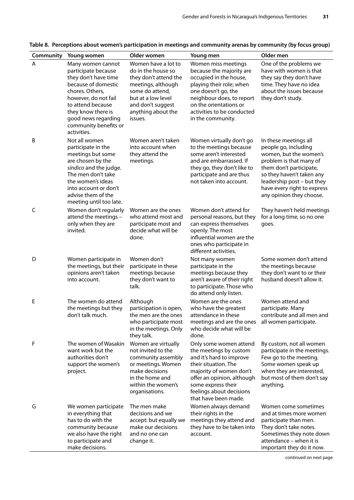| Community | Young women                                                                                                                                                                                                                                  | Older women                                                                                                                                                                             | Young men                                                                                                                                                                                                                               | Older men                                                                                                                                                                                                                                           |
|-----------|----------------------------------------------------------------------------------------------------------------------------------------------------------------------------------------------------------------------------------------------|-----------------------------------------------------------------------------------------------------------------------------------------------------------------------------------------|-----------------------------------------------------------------------------------------------------------------------------------------------------------------------------------------------------------------------------------------|-----------------------------------------------------------------------------------------------------------------------------------------------------------------------------------------------------------------------------------------------------|
| A         | Many women cannot<br>participate because<br>they don't have time<br>because of domestic<br>chores. Others,<br>however, do not fail<br>to attend because<br>they know there is<br>good news regarding<br>community benefits or<br>activities. | Women have a lot to<br>do in the house so<br>they don't attend the<br>meetings, although<br>some do attend,<br>but at a low level<br>and don't suggest<br>anything about the<br>issues. | Women miss meetings<br>because the majority are<br>occupied in the house,<br>playing their role; when<br>one doesn't go, the<br>neighbour does, to report<br>on the orientations or<br>activities to be conducted<br>in the community.  | One of the problems we<br>have with women is that<br>they say they don't have<br>time. They have no idea<br>about the issues because<br>they don't study.                                                                                           |
| B         | Not all women<br>participate in the<br>meetings but some<br>are chosen by the<br>síndico and the judge.<br>The men don't take<br>the women's ideas<br>into account or don't<br>advise them of the<br>meeting until too late.                 | Women aren't taken<br>into account when<br>they attend the<br>meetings.                                                                                                                 | Women virtually don't go<br>to the meetings because<br>some aren't interested<br>and are embarrassed. If<br>they go, they don't like to<br>participate and are thus<br>not taken into account.                                          | In these meetings all<br>people go, including<br>women, but the women's<br>problem is that many of<br>them don't participate,<br>so they haven't taken any<br>leadership post - but they<br>have every right to express<br>any opinion they choose. |
| C         | Women don't regularly<br>attend the meetings -<br>only when they are<br>invited.                                                                                                                                                             | Women are the ones<br>who attend most and<br>participate most and<br>decide what will be<br>done.                                                                                       | Women don't attend for<br>personal reasons, but they<br>can express themselves<br>openly. The most<br>influential women are the<br>ones who participate in<br>different activities.                                                     | They haven't held meetings<br>for a long time, so no one<br>goes.                                                                                                                                                                                   |
| D         | Women participate in<br>the meetings, but their<br>opinions aren't taken<br>into account.                                                                                                                                                    | Women don't<br>participate in these<br>meetings because<br>they don't want to<br>talk.                                                                                                  | Not many women<br>participate in the<br>meetings because they<br>aren't aware of their right<br>to participate. Those who<br>do attend only listen.                                                                                     | Some women don't attend<br>the meetings because<br>they don't want to or their<br>husband doesn't allow it.                                                                                                                                         |
| Е         | The women do attend<br>the meetings but they<br>don't talk much.                                                                                                                                                                             | Although<br>participation is open,<br>the men are the ones<br>who participate most<br>in the meetings. Only<br>they talk.                                                               | Women are the ones<br>who have the greatest<br>attendance in these<br>meetings and are the ones<br>who decide what will be<br>done.                                                                                                     | Women attend and<br>participate. Many<br>contribute and all men and<br>all women participate.                                                                                                                                                       |
| F         | The women of Wasakin<br>want work but the<br>authorities don't<br>support the women's<br>project.                                                                                                                                            | Women are virtually<br>not invited to the<br>community assembly<br>or meetings. Women<br>make decisions<br>in the home and<br>within the women's<br>organisations.                      | Only some women attend<br>the meetings by custom<br>and it's hard to improve<br>their situation. The<br>majority of women don't<br>offer an opinion, although<br>some express their<br>feelings about decisions<br>that have been made. | By custom, not all women<br>participate in the meetings.<br>Few go to the meeting.<br>Some women speak up<br>when they are interested,<br>but most of them don't say<br>anything.                                                                   |
| G         | We women participate<br>in everything that<br>has to do with the<br>community because<br>we also have the right<br>to participate and<br>make decisions.                                                                                     | The men make<br>decisions and we<br>accept: but equally we<br>make our decisions<br>and no one can<br>change it.                                                                        | Women always demand<br>their rights in the<br>meetings they attend and<br>they have to be taken into<br>account.                                                                                                                        | Women come sometimes<br>and at times more women<br>participate than men.<br>They don't take notes.<br>Sometimes they note down<br>attendance - when it is<br>important they do it now.                                                              |

<span id="page-38-0"></span>

|  |  |  |  |  | Table 8. Perceptions about women's participation in meetings and community arenas by community (by focus group) |
|--|--|--|--|--|-----------------------------------------------------------------------------------------------------------------|
|--|--|--|--|--|-----------------------------------------------------------------------------------------------------------------|

continued on next page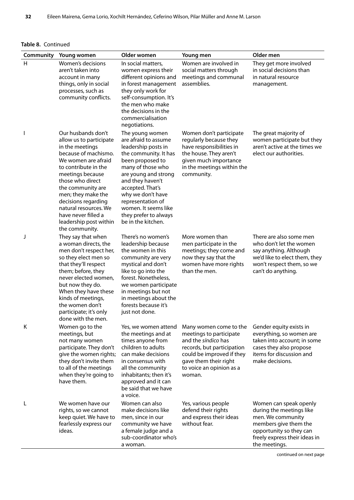| Community | Young women                                                                                                                                                                                                                                                                                                                                   | Older women                                                                                                                                                                                                                                                                                                       | Young men                                                                                                                                                                                          | Older men                                                                                                                                                                     |
|-----------|-----------------------------------------------------------------------------------------------------------------------------------------------------------------------------------------------------------------------------------------------------------------------------------------------------------------------------------------------|-------------------------------------------------------------------------------------------------------------------------------------------------------------------------------------------------------------------------------------------------------------------------------------------------------------------|----------------------------------------------------------------------------------------------------------------------------------------------------------------------------------------------------|-------------------------------------------------------------------------------------------------------------------------------------------------------------------------------|
| H         | Women's decisions<br>aren't taken into<br>account in many<br>things, only in social<br>processes, such as<br>community conflicts.                                                                                                                                                                                                             | In social matters,<br>women express their<br>different opinions and<br>in forest management<br>they only work for<br>self-consumption. It's<br>the men who make<br>the decisions in the<br>commercialisation<br>negotiations.                                                                                     | Women are involved in<br>social matters through<br>meetings and communal<br>assemblies.                                                                                                            | They get more involved<br>in social decisions than<br>in natural resource<br>management.                                                                                      |
|           | Our husbands don't<br>allow us to participate<br>in the meetings<br>because of machismo.<br>We women are afraid<br>to contribute in the<br>meetings because<br>those who direct<br>the community are<br>men; they make the<br>decisions regarding<br>natural resources. We<br>have never filled a<br>leadership post within<br>the community. | The young women<br>are afraid to assume<br>leadership posts in<br>the community. It has<br>been proposed to<br>many of those who<br>are young and strong<br>and they haven't<br>accepted. That's<br>why we don't have<br>representation of<br>women. It seems like<br>they prefer to always<br>be in the kitchen. | Women don't participate<br>regularly because they<br>have responsibilities in<br>the house. They aren't<br>given much importance<br>in the meetings within the<br>community.                       | The great majority of<br>women participate but they<br>aren't active at the times we<br>elect our authorities.                                                                |
| J         | They say that when<br>a woman directs, the<br>men don't respect her,<br>so they elect men so<br>that they'll respect<br>them; before, they<br>never elected women,<br>but now they do.<br>When they have these<br>kinds of meetings,<br>the women don't<br>participate; it's only<br>done with the men.                                       | There's no women's<br>leadership because<br>the women in this<br>community are very<br>mystical and don't<br>like to go into the<br>forest. Nonetheless,<br>we women participate<br>in meetings but not<br>in meetings about the<br>forests because it's<br>just not done.                                        | More women than<br>men participate in the<br>meetings; they come and<br>now they say that the<br>women have more rights<br>than the men.                                                           | There are also some men<br>who don't let the women<br>say anything. Although<br>we'd like to elect them, they<br>won't respect them, so we<br>can't do anything.              |
| Κ         | Women go to the<br>meetings, but<br>not many women<br>participate. They don't<br>give the women rights;<br>they don't invite them<br>to all of the meetings<br>when they're going to<br>have them.                                                                                                                                            | Yes, we women attend<br>the meetings and at<br>times anyone from<br>children to adults<br>can make decisions<br>in consensus with<br>all the community<br>inhabitants; then it's<br>approved and it can<br>be said that we have<br>a voice.                                                                       | Many women come to the<br>meetings to participate<br>and the síndico has<br>records, but participation<br>could be improved if they<br>gave them their right<br>to voice an opinion as a<br>woman. | Gender equity exists in<br>everything, so women are<br>taken into account; in some<br>cases they also propose<br>items for discussion and<br>make decisions.                  |
| L         | We women have our<br>rights, so we cannot<br>keep quiet. We have to<br>fearlessly express our<br>ideas.                                                                                                                                                                                                                                       | Women can also<br>make decisions like<br>men, since in our<br>community we have<br>a female judge and a<br>sub-coordinator who's<br>a woman.                                                                                                                                                                      | Yes, various people<br>defend their rights<br>and express their ideas<br>without fear.                                                                                                             | Women can speak openly<br>during the meetings like<br>men. We community<br>members give them the<br>opportunity so they can<br>freely express their ideas in<br>the meetings. |

continued on next page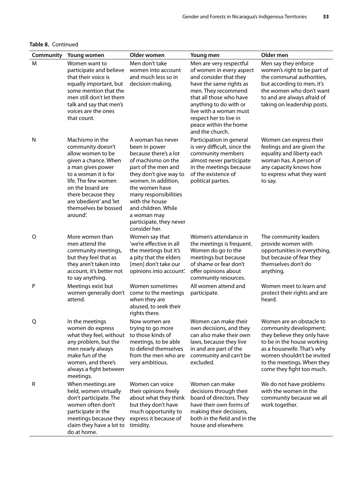**Table 8.** Continued

| Community | Young women                                                                                                                                                                                                                                                    | Older women                                                                                                                                                                                                                                                                                              | Young men                                                                                                                                                                                                                                                                            | Older men                                                                                                                                                                                                                              |
|-----------|----------------------------------------------------------------------------------------------------------------------------------------------------------------------------------------------------------------------------------------------------------------|----------------------------------------------------------------------------------------------------------------------------------------------------------------------------------------------------------------------------------------------------------------------------------------------------------|--------------------------------------------------------------------------------------------------------------------------------------------------------------------------------------------------------------------------------------------------------------------------------------|----------------------------------------------------------------------------------------------------------------------------------------------------------------------------------------------------------------------------------------|
| M         | Women want to<br>participate and believe<br>that their voice is<br>equally important, but<br>some mention that the<br>men still don't let them<br>talk and say that men's<br>voices are the ones<br>that count.                                                | Men don't take<br>women into account<br>and much less so in<br>decision-making.                                                                                                                                                                                                                          | Men are very respectful<br>of women in every aspect<br>and consider that they<br>have the same rights as<br>men. They recommend<br>that all those who have<br>anything to do with or<br>live with a woman must<br>respect her to live in<br>peace within the home<br>and the church. | Men say they enforce<br>women's right to be part of<br>the communal authorities,<br>but according to men, it's<br>the women who don't want<br>to and are always afraid of<br>taking on leadership posts.                               |
| N         | Machismo in the<br>community doesn't<br>allow women to be<br>given a chance. When<br>a man gives power<br>to a woman it is for<br>life. The few women<br>on the board are<br>there because they<br>are 'obedient' and 'let<br>themselves be bossed<br>around'. | A woman has never<br>been in power<br>because there's a lot<br>of machismo on the<br>part of the men and<br>they don't give way to<br>women. In addition,<br>the women have<br>many responsibilities<br>with the house<br>and children. While<br>a woman may<br>participate, they never<br>consider her. | Participation in general<br>is very difficult, since the<br>community members<br>almost never participate<br>in the meetings because<br>of the existence of<br>political parties.                                                                                                    | Women can express their<br>feelings and are given the<br>equality and liberty each<br>woman has. A person of<br>any capacity knows how<br>to express what they want<br>to say.                                                         |
| O         | More women than<br>men attend the<br>community meetings,<br>but they feel that as<br>they aren't taken into<br>account, it's better not<br>to say anything.                                                                                                    | Women say that<br>'we're effective in all<br>the meetings but it's<br>a pity that the elders<br>[men] don't take our<br>opinions into account'.                                                                                                                                                          | Women's attendance in<br>the meetings is frequent.<br>Women do go to the<br>meetings but because<br>of shame or fear don't<br>offer opinions about<br>community resources.                                                                                                           | The community leaders<br>provide women with<br>opportunities in everything,<br>but because of fear they<br>themselves don't do<br>anything.                                                                                            |
| P         | Meetings exist but<br>women generally don't<br>attend.                                                                                                                                                                                                         | Women sometimes<br>come to the meetings<br>when they are<br>abused, to seek their<br>rights there.                                                                                                                                                                                                       | All women attend and<br>participate.                                                                                                                                                                                                                                                 | Women meet to learn and<br>protect their rights and are<br>heard.                                                                                                                                                                      |
| Q         | In the meetings<br>women do express<br>what they feel, without<br>any problem, but the<br>men nearly always<br>make fun of the<br>women, and there's<br>always a fight between<br>meetings.                                                                    | Now women are<br>trying to go more<br>to those kinds of<br>meetings, to be able<br>to defend themselves<br>from the men who are<br>very ambitious.                                                                                                                                                       | Women can make their<br>own decisions, and they<br>can also make their own<br>laws, because they live<br>in and are part of the<br>community and can't be<br>excluded.                                                                                                               | Women are an obstacle to<br>community development;<br>they believe they only have<br>to be in the house working<br>as a housewife. That's why<br>women shouldn't be invited<br>to the meetings. When they<br>come they fight too much. |
| R         | When meetings are<br>held, women virtually<br>don't participate. The<br>women often don't<br>participate in the<br>meetings because they<br>claim they have a lot to<br>do at home.                                                                            | Women can voice<br>their opinions freely<br>about what they think<br>but they don't have<br>much opportunity to<br>express it because of<br>timidity.                                                                                                                                                    | Women can make<br>decisions through their<br>board of directors. They<br>have their own forms of<br>making their decisions,<br>both in the field and in the<br>house and elsewhere.                                                                                                  | We do not have problems<br>with the women in the<br>community because we all<br>work together.                                                                                                                                         |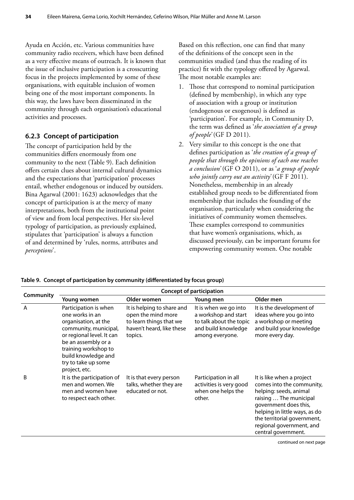<span id="page-41-0"></span>Ayuda en Acción, etc. Various communities have community radio receivers, which have been defined as a very effective means of outreach. It is known that the issue of inclusive participation is a crosscutting focus in the projects implemented by some of these organisations, with equitable inclusion of women being one of the most important components. In this way, the laws have been disseminated in the community through each organisation's educational activities and processes.

#### **6.2.3 Concept of participation**

The concept of participation held by the communities differs enormously from one community to the next (Table 9). Each definition offers certain clues about internal cultural dynamics and the expectations that 'participation' processes entail, whether endogenous or induced by outsiders. Bina Agarwal (2001: 1623) acknowledges that the concept of participation is at the mercy of many interpretations, both from the institutional point of view and from local perspectives. Her six-level typology of participation, as previously explained, stipulates that 'participation' is always a function of and determined by 'rules, norms, attributes and *perceptions*'.

Based on this reflection, one can find that many of the definitions of the concept seen in the communities studied (and thus the reading of its practice) fit with the typology offered by Agarwal. The most notable examples are:

- Those that correspond to nominal participation (defined by membership), in which any type of association with a group or institution (endogenous or exogenous) is defined as 'participation'. For example, in Community D, the term was defined as '*the association of a group of people'* (GF D 2011).
- 2. Very similar to this concept is the one that defines participation as '*the creation of a group of people that through the opinions of each one reaches a conclusion'* (GF O 2011), or as '*a group of people who jointly carry out an activity'* (GF F 2011). Nonetheless, membership in an already established group needs to be differentiated from membership that includes the founding of the organisation, particularly when considering the initiatives of community women themselves. These examples correspond to communities that have women's organisations, which, as discussed previously, can be important forums for empowering community women. One notable

|           | <b>Concept of participation</b>                                                                                                                                                                                                      |                                                                                                                     |                                                                                                                    |                                                                                                                                                                                                                                                        |  |
|-----------|--------------------------------------------------------------------------------------------------------------------------------------------------------------------------------------------------------------------------------------|---------------------------------------------------------------------------------------------------------------------|--------------------------------------------------------------------------------------------------------------------|--------------------------------------------------------------------------------------------------------------------------------------------------------------------------------------------------------------------------------------------------------|--|
| Community | Young women                                                                                                                                                                                                                          | Older women                                                                                                         | Young men                                                                                                          | Older men                                                                                                                                                                                                                                              |  |
| A         | Participation is when<br>one works in an<br>organisation, at the<br>community, municipal,<br>or regional level. It can<br>be an assembly or a<br>training workshop to<br>build knowledge and<br>try to take up some<br>project, etc. | It is helping to share and<br>open the mind more<br>to learn things that we<br>haven't heard, like these<br>topics. | It is when we go into<br>a workshop and start<br>to talk about the topic<br>and build knowledge<br>among everyone. | It is the development of<br>ideas where you go into<br>a workshop or meeting<br>and build your knowledge<br>more every day.                                                                                                                            |  |
| B         | It is the participation of<br>men and women. We<br>men and women have<br>to respect each other.                                                                                                                                      | It is that every person<br>talks, whether they are<br>educated or not.                                              | Participation in all<br>activities is very good<br>when one helps the<br>other.                                    | It is like when a project<br>comes into the community,<br>helping: seeds, animal<br>raising  The municipal<br>government does this,<br>helping in little ways, as do<br>the territorial government,<br>regional government, and<br>central government. |  |
|           |                                                                                                                                                                                                                                      |                                                                                                                     |                                                                                                                    | continued on next page                                                                                                                                                                                                                                 |  |

**Table 9. Concept of participation by community (differentiated by focus group)**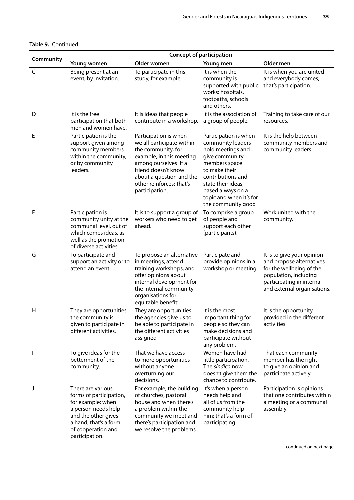#### **Table 9.** Continued

|              | <b>Concept of participation</b>                                                                                                                                                  |                                                                                                                                                                                                                                |                                                                                                                                                                                                                                      |                                                                                                                                                                         |
|--------------|----------------------------------------------------------------------------------------------------------------------------------------------------------------------------------|--------------------------------------------------------------------------------------------------------------------------------------------------------------------------------------------------------------------------------|--------------------------------------------------------------------------------------------------------------------------------------------------------------------------------------------------------------------------------------|-------------------------------------------------------------------------------------------------------------------------------------------------------------------------|
| Community    | Young women                                                                                                                                                                      | Older women                                                                                                                                                                                                                    | Young men                                                                                                                                                                                                                            | Older men                                                                                                                                                               |
| $\mathsf{C}$ | Being present at an<br>event, by invitation.                                                                                                                                     | To participate in this<br>study, for example.                                                                                                                                                                                  | It is when the<br>community is<br>supported with public<br>works: hospitals,<br>footpaths, schools<br>and others.                                                                                                                    | It is when you are united<br>and everybody comes;<br>that's participation.                                                                                              |
| D            | It is the free<br>participation that both<br>men and women have.                                                                                                                 | It is ideas that people<br>contribute in a workshop.                                                                                                                                                                           | It is the association of<br>a group of people.                                                                                                                                                                                       | Training to take care of our<br>resources.                                                                                                                              |
| Е            | Participation is the<br>support given among<br>community members<br>within the community,<br>or by community<br>leaders.                                                         | Participation is when<br>we all participate within<br>the community, for<br>example, in this meeting<br>among ourselves. If a<br>friend doesn't know<br>about a question and the<br>other reinforces: that's<br>participation. | Participation is when<br>community leaders<br>hold meetings and<br>give community<br>members space<br>to make their<br>contributions and<br>state their ideas,<br>based always on a<br>topic and when it's for<br>the community good | It is the help between<br>community members and<br>community leaders.                                                                                                   |
| F            | Participation is<br>community unity at the<br>communal level, out of<br>which comes ideas, as<br>well as the promotion<br>of diverse activities.                                 | It is to support a group of<br>workers who need to get<br>ahead.                                                                                                                                                               | To comprise a group<br>of people and<br>support each other<br>(participants).                                                                                                                                                        | Work united with the<br>community.                                                                                                                                      |
| G            | To participate and<br>support an activity or to<br>attend an event.                                                                                                              | To propose an alternative<br>in meetings, attend<br>training workshops, and<br>offer opinions about<br>internal development for<br>the internal community<br>organisations for<br>equitable benefit.                           | Participate and<br>provide opinions in a<br>workshop or meeting.                                                                                                                                                                     | It is to give your opinion<br>and propose alternatives<br>for the wellbeing of the<br>population, including<br>participating in internal<br>and external organisations. |
| H            | They are opportunities<br>the community is<br>given to participate in<br>different activities.                                                                                   | They are opportunities<br>the agencies give us to<br>be able to participate in<br>the different activities<br>assigned                                                                                                         | It is the most<br>important thing for<br>people so they can<br>make decisions and<br>participate without<br>any problem.                                                                                                             | It is the opportunity<br>provided in the different<br>activities.                                                                                                       |
|              | To give ideas for the<br>betterment of the<br>community.                                                                                                                         | That we have access<br>to more opportunities<br>without anyone<br>overturning our<br>decisions.                                                                                                                                | Women have had<br>little participation.<br>The <i>síndico</i> now<br>doesn't give them the<br>chance to contribute.                                                                                                                  | That each community<br>member has the right<br>to give an opinion and<br>participate actively.                                                                          |
| J            | There are various<br>forms of participation,<br>for example: when<br>a person needs help<br>and the other gives<br>a hand; that's a form<br>of cooperation and<br>participation. | For example, the building<br>of churches, pastoral<br>house and when there's<br>a problem within the<br>community we meet and<br>there's participation and<br>we resolve the problems.                                         | It's when a person<br>needs help and<br>all of us from the<br>community help<br>him; that's a form of<br>participating                                                                                                               | Participation is opinions<br>that one contributes within<br>a meeting or a communal<br>assembly.                                                                        |

continued on next page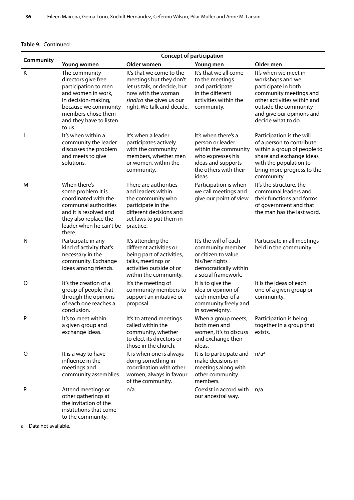#### **Table 9.** Continued

| Community | <b>Concept of participation</b>                                                                                                                                                              |                                                                                                                                                                    |                                                                                                                                               |                                                                                                                                                                                                      |
|-----------|----------------------------------------------------------------------------------------------------------------------------------------------------------------------------------------------|--------------------------------------------------------------------------------------------------------------------------------------------------------------------|-----------------------------------------------------------------------------------------------------------------------------------------------|------------------------------------------------------------------------------------------------------------------------------------------------------------------------------------------------------|
|           | Young women                                                                                                                                                                                  | Older women                                                                                                                                                        | Young men                                                                                                                                     | Older men                                                                                                                                                                                            |
| K         | The community<br>directors give free<br>participation to men<br>and women in work,<br>in decision-making,<br>because we community<br>members chose them<br>and they have to listen<br>to us. | It's that we come to the<br>meetings but they don't<br>let us talk, or decide, but<br>now with the woman<br>síndico she gives us our<br>right. We talk and decide. | It's that we all come<br>to the meetings<br>and participate<br>in the different<br>activities within the<br>community.                        | It's when we meet in<br>workshops and we<br>participate in both<br>community meetings and<br>other activities within and<br>outside the community<br>and give our opinions and<br>decide what to do. |
| L         | It's when within a<br>community the leader<br>discusses the problem<br>and meets to give<br>solutions.                                                                                       | It's when a leader<br>participates actively<br>with the community<br>members, whether men<br>or women, within the<br>community.                                    | It's when there's a<br>person or leader<br>within the community<br>who expresses his<br>ideas and supports<br>the others with their<br>ideas. | Participation is the will<br>of a person to contribute<br>within a group of people to<br>share and exchange ideas<br>with the population to<br>bring more progress to the<br>community.              |
| M         | When there's<br>some problem it is<br>coordinated with the<br>communal authorities<br>and it is resolved and<br>they also replace the<br>leader when he can't be<br>there.                   | There are authorities<br>and leaders within<br>the community who<br>participate in the<br>different decisions and<br>set laws to put them in<br>practice.          | Participation is when<br>we call meetings and<br>give our point of view.                                                                      | It's the structure, the<br>communal leaders and<br>their functions and forms<br>of government and that<br>the man has the last word.                                                                 |
| N         | Participate in any<br>kind of activity that's<br>necessary in the<br>community. Exchange<br>ideas among friends.                                                                             | It's attending the<br>different activities or<br>being part of activities,<br>talks, meetings or<br>activities outside of or<br>within the community.              | It's the will of each<br>community member<br>or citizen to value<br>his/her rights<br>democratically within<br>a social framework.            | Participate in all meetings<br>held in the community.                                                                                                                                                |
| $\circ$   | It's the creation of a<br>group of people that<br>through the opinions<br>of each one reaches a<br>conclusion.                                                                               | It's the meeting of<br>community members to<br>support an initiative or<br>proposal.                                                                               | It is to give the<br>idea or opinion of<br>each member of a<br>community freely and<br>in sovereignty.                                        | It is the ideas of each<br>one of a given group or<br>community.                                                                                                                                     |
| P         | It's to meet within<br>a given group and<br>exchange ideas.                                                                                                                                  | It's to attend meetings<br>called within the<br>community, whether<br>to elect its directors or<br>those in the church.                                            | When a group meets,<br>both men and<br>women, it's to discuss<br>and exchange their<br>ideas.                                                 | Participation is being<br>together in a group that<br>exists.                                                                                                                                        |
| Q         | It is a way to have<br>influence in the<br>meetings and<br>community assemblies.                                                                                                             | It is when one is always<br>doing something in<br>coordination with other<br>women, always in favour<br>of the community.                                          | It is to participate and<br>make decisions in<br>meetings along with<br>other community<br>members.                                           | n/a <sup>a</sup>                                                                                                                                                                                     |
| R         | Attend meetings or<br>other gatherings at<br>the invitation of the<br>institutions that come<br>to the community.                                                                            | n/a                                                                                                                                                                | Coexist in accord with<br>our ancestral way.                                                                                                  | n/a                                                                                                                                                                                                  |

a Data not available.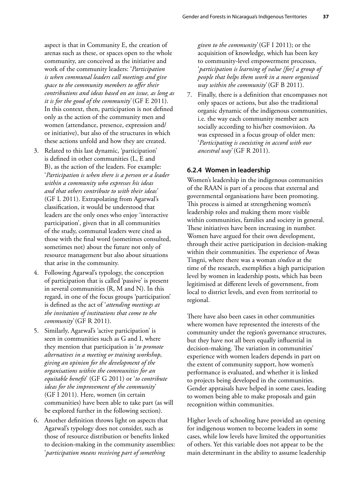aspect is that in Community E, the creation of arenas such as these, or spaces open to the whole community, are conceived as the initiative and work of the community leaders: '*Participation is when communal leaders call meetings and give space to the community members to offer their contributions and ideas based on an issue, as long as it is for the good of the community'* (GF E 2011). In this context, then, participation is not defined only as the action of the community men and women (attendance, presence, expression and/ or initiative), but also of the structures in which these actions unfold and how they are created.

- 3. Related to this last dynamic, 'participation' is defined in other communities (L, E and B), as the action of the leaders. For example: '*Participation is when there is a person or a leader within a community who expresses his ideas and that others contribute to with their ideas'*  (GF L 2011). Extrapolating from Agarwal's classification, it would be understood that leaders are the only ones who enjoy 'interactive participation', given that in all communities of the study, communal leaders were cited as those with the final word (sometimes consulted, sometimes not) about the future not only of resource management but also about situations that arise in the community.
- 4. Following Agarwal's typology, the conception of participation that is called 'passive' is present in several communities (R, M and N). In this regard, in one of the focus groups 'participation' is defined as the act of '*attending meetings at the invitation of institutions that come to the community'* (GF R 2011).
- 5. Similarly, Agarwal's 'active participation' is seen in communities such as G and I, where they mention that participation is '*to promote alternatives in a meeting or training workshop, giving an opinion for the development of the organisations within the communities for an equitable benefit*' (GF G 2011) or '*to contribute ideas for the improvement of the community'*  (GF I 2011). Here, women (in certain communities) have been able to take part (as will be explored further in the following section).
- 6. Another definition throws light on aspects that Agarwal's typology does not consider, such as those of resource distribution or benefits linked to decision-making in the community assemblies: '*participation means receiving part of something*

*given to the community'* (GF I 2011); or the acquisition of knowledge, which has been key to community-level empowerment processes, '*participation is learning of value [for] a group of people that helps them work in a more organised way within the community'* (GF B 2011).

7. Finally, there is a definition that encompasses not only spaces or actions, but also the traditional organic dynamic of the indigenous communities, i.e. the way each community member acts socially according to his/her cosmovision. As was expressed in a focus group of older men: '*Participating is coexisting in accord with our ancestral way'* (GF R 2011).

#### **6.2.4 Women in leadership**

Women's leadership in the indigenous communities of the RAAN is part of a process that external and governmental organisations have been promoting. This process is aimed at strengthening women's leadership roles and making them more visible within communities, families and society in general. These initiatives have been increasing in number. Women have argued for their own development, through their active participation in decision-making within their communities. The experience of Awas Tingni, where there was a woman *síndico* at the time of the research, exemplifies a high participation level by women in leadership posts, which has been legitimised at different levels of government, from local to district levels, and even from territorial to regional.

There have also been cases in other communities where women have represented the interests of the community under the region's governance structures, but they have not all been equally influential in decision-making. The variation in communities' experience with women leaders depends in part on the extent of community support, how women's performance is evaluated, and whether it is linked to projects being developed in the communities. Gender appraisals have helped in some cases, leading to women being able to make proposals and gain recognition within communities.

Higher levels of schooling have provided an opening for indigenous women to become leaders in some cases, while low levels have limited the opportunities of others. Yet this variable does not appear to be the main determinant in the ability to assume leadership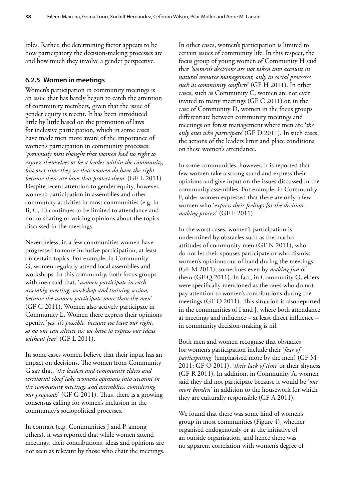roles. Rather, the determining factor appears to be how participatory the decision-making processes are and how much they involve a gender perspective.

#### **6.2.5 Women in meetings**

Women's participation in community meetings is an issue that has barely begun to catch the attention of community members, given that the issue of gender equity is recent. It has been introduced little by little based on the promotion of laws for inclusive participation, which in some cases have made men more aware of the importance of women's participation in community processes: '*previously men thought that women had no right to express themselves or be a leader within the community, but over time they see that women do have the right because there are laws that protect them*' (GF L 2011). Despite recent attention to gender equity, however, women's participation in assemblies and other community activities in most communities (e.g. in B, C, E) continues to be limited to attendance and not to sharing or voicing opinions about the topics discussed in the meetings.

Nevertheless, in a few communities women have progressed to more inclusive participation, at least on certain topics. For example, in Community G, women regularly attend local assemblies and workshops. In this community, both focus groups with men said that, '*women participate in each assembly, meeting, workshop and training session, because the women participate more than the men*' (GF G 2011). Women also actively participate in Community L. Women there express their opinions openly, '*yes, it's possible, because we have our right, so no one can silence us; we have to express our ideas without fear*' (GF L 2011).

In some cases women believe that their input has an impact on decisions. The women from Community G say that, '*the leaders and community elders and territorial chief take women's opinions into account in the community meetings and assemblies, considering our proposals*' (GF G 2011). Thus, there is a growing consensus calling for women's inclusion in the community's sociopolitical processes.

In contrast (e.g. Communities J and P, among others), it was reported that while women attend meetings, their contributions, ideas and opinions are not seen as relevant by those who chair the meetings.

In other cases, women's participation is limited to certain issues of community life. In this respect, the focus group of young women of Community H said that *'women's decisions are not taken into account in natural resource management, only in social processes such as community conflicts*' (GF H 2011). In other cases, such as Community C, women are not even invited to many meetings (GF C 2011) or, in the case of Community D, women in the focus groups differentiate between community meetings and meetings on forest management where men are '*the only ones who participate'* (GF D 2011). In such cases, the actions of the leaders limit and place conditions on these women's attendance.

In some communities, however, it is reported that few women take a strong stand and express their opinions and give input on the issues discussed in the community assemblies. For example, in Community F, older women expressed that there are only a few women who '*express their feelings for the decisionmaking process*' (GF F 2011).

In the worst cases, women's participation is undermined by obstacles such as the macho attitudes of community men (GF N 2011), who do not let their spouses participate or who dismiss women's opinions out of hand during the meetings (GF M 2011), sometimes even by *making fun* of them (GF Q 2011). In fact, in Community O, elders were specifically mentioned as the ones who do not pay attention to women's contributions during the meetings (GF O 2011). This situation is also reported in the communities of I and J, where both attendance at meetings and influence – at least direct influence – in community decision-making is nil.

Both men and women recognise that obstacles for women's participation include their '*fear of participating*' (emphasised more by the men) (GF M 2011; GF O 2011), '*their lack of time'* or their shyness (GF R 2011). In addition, in Community A, women said they did not participate because it would be '*one more burden*' in addition to the housework for which they are culturally responsible (GF A 2011).

We found that there was some kind of women's group in most communities (Figure 4), whether organised endogenously or at the initiative of an outside organisation, and hence there was no apparent correlation with women's degree of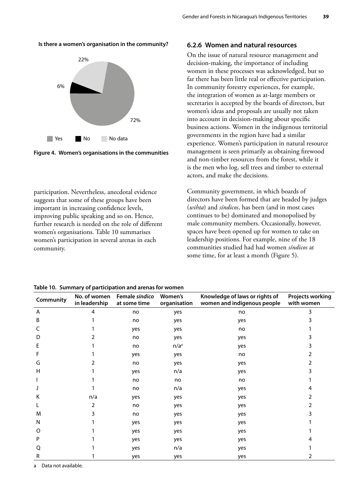<span id="page-46-0"></span>**Is there a women's organisation in the community?**



**Figure 4. Women's organisations in the communities**

participation. Nevertheless, anecdotal evidence suggests that some of these groups have been important in increasing confidence levels, improving public speaking and so on. Hence, further research is needed on the role of different women's organisations. Table 10 summarises women's participation in several arenas in each community.

#### **6.2.6 Women and natural resources**

On the issue of natural resource management and decision-making, the importance of including women in these processes was acknowledged, but so far there has been little real or effective participation. In community forestry experiences, for example, the integration of women as at-large members or secretaries is accepted by the boards of directors, but women's ideas and proposals are usually not taken into account in decision-making about specific business actions. Women in the indigenous territorial governments in the region have had a similar experience. Women's participation in natural resource management is seen primarily as obtaining firewood and non-timber resources from the forest, while it is the men who log, sell trees and timber to external actors, and make the decisions.

Community government, in which boards of directors have been formed that are headed by judges (*wihta*) and *síndicos*, has been (and in most cases continues to be) dominated and monopolised by male community members. Occasionally, however, spaces have been opened up for women to take on leadership positions. For example, nine of the 18 communities studied had had women *síndicos* at some time, for at least a month (Figure 5).

|  | Table 10. Summary of participation and arenas for women |  |
|--|---------------------------------------------------------|--|
|--|---------------------------------------------------------|--|

| Community | No. of women<br>in leadership | Female síndico<br>at some time | Women's<br>organisation | Knowledge of laws or rights of<br>women and indigenous people | <b>Projects working</b><br>with women |
|-----------|-------------------------------|--------------------------------|-------------------------|---------------------------------------------------------------|---------------------------------------|
| A         | 4                             | no                             | yes                     | no                                                            | 3                                     |
| B         |                               | no                             | yes                     | yes                                                           |                                       |
|           |                               | yes                            | yes                     | no                                                            |                                       |
| D         |                               | no                             | yes                     | yes                                                           |                                       |
| E         |                               | no                             | n/a <sup>a</sup>        | yes                                                           |                                       |
|           |                               | yes                            | yes                     | no                                                            |                                       |
| G         |                               | no                             | yes                     | yes                                                           |                                       |
| н         |                               | yes                            | n/a                     | yes                                                           |                                       |
|           |                               | no                             | no                      | no                                                            |                                       |
|           |                               | no                             | n/a                     | yes                                                           |                                       |
| К         | n/a                           | yes                            | yes                     | yes                                                           |                                       |
|           |                               | no                             | yes                     | yes                                                           |                                       |
| M         |                               | no                             | yes                     | yes                                                           |                                       |
| N         |                               | yes                            | yes                     | yes                                                           |                                       |
| O         |                               | yes                            | yes                     | yes                                                           |                                       |
| P         |                               | yes                            | yes                     | yes                                                           |                                       |
| Q         |                               | yes                            | n/a                     | yes                                                           |                                       |
| R         |                               | yes                            | yes                     | yes                                                           | 2                                     |

a Data not available.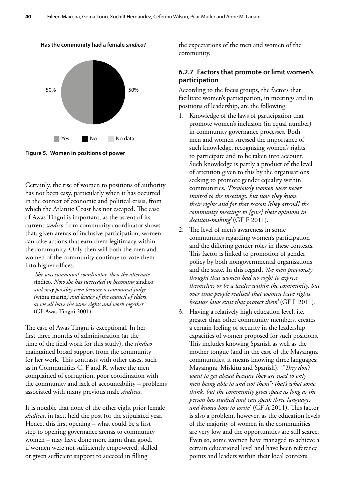<span id="page-47-0"></span>

**Figure 5. Women in positions of power**

Certainly, the rise of women to positions of authority has not been easy, particularly when it has occurred in the context of economic and political crisis, from which the Atlantic Coast has not escaped. The case of Awas Tingni is important, as the ascent of its current *síndico* from community coordinator shows that, given arenas of inclusive participation, women can take actions that earn them legitimacy within the community. Only then will both the men and women of the community continue to vote them into higher offices:

*'She was communal coordinator, then the alternate*  síndico. *Now she has succeeded in becoming* síndico *and may possibly even become a communal judge (*wihta mairin*) and leader of the council of elders, as we all have the same rights and work together'* (GF Awas Tingni 2001).

The case of Awas Tingni is exceptional. In her first three months of administration (at the time of the field work for this study), the *síndico*  maintained broad support from the community for her work. This contrasts with other cases, such as in Communities C, F and R, where the men complained of corruption, poor coordination with the community and lack of accountability – problems associated with many previous male *síndicos*.

It is notable that none of the other eight prior female *síndicos*, in fact, held the post for the stipulated year. Hence, this first opening – what could be a first step to opening governance arenas to community women – may have done more harm than good, if women were not sufficiently empowered, skilled or given sufficient support to succeed in filling

the expectations of the men and women of the community.

#### **6.2.7 Factors that promote or limit women's participation**

According to the focus groups, the factors that facilitate women's participation, in meetings and in positions of leadership, are the following:

- 1. Knowledge of the laws of participation that promote women's inclusion (in equal number) in community governance processes. Both men and women stressed the importance of such knowledge, recognising women's rights to participate and to be taken into account. Such knowledge is partly a product of the level of attention given to this by the organisations seeking to promote gender equality within communities. *'Previously women were never invited to the meetings, but now they know their rights and for that reason [they attend] the community meetings to [give] their opinions in decision-making'* (GF F 2011).
- 2. The level of men's awareness in some communities regarding women's participation and the differing gender roles in these contexts. This factor is linked to promotion of gender policy by both nongovernmental organisations and the state. In this regard, *'the men previously thought that women had no right to express themselves or be a leader within the community, but over time people realised that women have rights, because laws exist that protect them'* (GF L 2011).
- 3. Having a relatively high education level, i.e. greater than other community members, creates a certain feeling of security in the leadership capacities of women proposed for such positions. This includes knowing Spanish as well as the mother tongue (and in the case of the Mayangna communities, it means knowing three languages: Mayangna, Miskitu and Spanish). '*"They don't want to get ahead because they are used to only men being able to and not them"; that's what some think, but the community gives space as long as the person has studied and can speak three languages and knows how to write*' (GF A 2011). This factor is also a problem, however, as the education levels of the majority of women in the communities are very low and the opportunities are still scarce. Even so, some women have managed to achieve a certain educational level and have been reference points and leaders within their local contexts.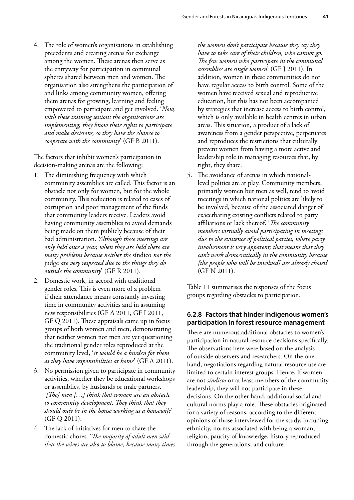4. The role of women's organisations in establishing precedents and creating arenas for exchange among the women. These arenas then serve as the entryway for participation in communal spheres shared between men and women. The organisation also strengthens the participation of and links among community women, offering them arenas for growing, learning and feeling empowered to participate and get involved. '*Now, with these training sessions the organisations are implementing, they know their rights to participate and make decisions, so they have the chance to cooperate with the community*' (GF B 2011).

The factors that inhibit women's participation in decision-making arenas are the following:

- 1. The diminishing frequency with which community assemblies are called. This factor is an obstacle not only for women, but for the whole community. This reduction is related to cases of corruption and poor management of the funds that community leaders receive. Leaders avoid having community assemblies to avoid demands being made on them publicly because of their bad administration. *'Although these meetings are only held once a year, when they are held there are many problems because neither the* síndico *nor the*  judge *are very respected due to the things they do outside the community*' (GF R 2011).
- 2. Domestic work, in accord with traditional gender roles. This is even more of a problem if their attendance means constantly investing time in community activities and in assuming new responsibilities (GF A 2011, GF I 2011, GF Q 2011). These appraisals came up in focus groups of both women and men, demonstrating that neither women nor men are yet questioning the traditional gender roles reproduced at the community level, '*it would be a burden for them as they have responsibilities at home*' (GF A 2011).
- 3. No permission given to participate in community activities, whether they be educational workshops or assemblies, by husbands or male partners. '*[The] men […] think that women are an obstacle to community development. They think that they should only be in the house working as a housewife*' (GF Q 2011).
- 4. The lack of initiatives for men to share the domestic chores. '*The majority of adult men said that the wives are also to blame, because many times*

*the women don't participate because they say they have to take care of their children, who cannot go. The few women who participate in the communal assemblies are single women*' (GF J 2011). In addition, women in these communities do not have regular access to birth control. Some of the women have received sexual and reproductive education, but this has not been accompanied by strategies that increase access to birth control, which is only available in health centres in urban areas. This situation, a product of a lack of awareness from a gender perspective, perpetuates and reproduces the restrictions that culturally prevent women from having a more active and leadership role in managing resources that, by right, they share.

5. The avoidance of arenas in which nationallevel politics are at play. Community members, primarily women but men as well, tend to avoid meetings in which national politics are likely to be involved, because of the associated danger of exacerbating existing conflicts related to party affiliations or lack thereof. '*The community members virtually avoid participating in meetings due to the existence of political parties, where party involvement is very apparent; that means that they can't work democratically in the community because [the people who will be involved] are already chosen*' (GF N 2011).

Table 11 summarises the responses of the focus groups regarding obstacles to participation.

#### **6.2.8 Factors that hinder indigenous women's participation in forest resource management**

There are numerous additional obstacles to women's participation in natural resource decisions specifically. The observations here were based on the analysis of outside observers and researchers. On the one hand, negotiations regarding natural resource use are limited to certain interest groups. Hence, if women are not *síndicos* or at least members of the community leadership, they will not participate in these decisions. On the other hand, additional social and cultural norms play a role. These obstacles originated for a variety of reasons, according to the different opinions of those interviewed for the study, including ethnicity, norms associated with being a woman, religion, paucity of knowledge, history reproduced through the generations, and culture.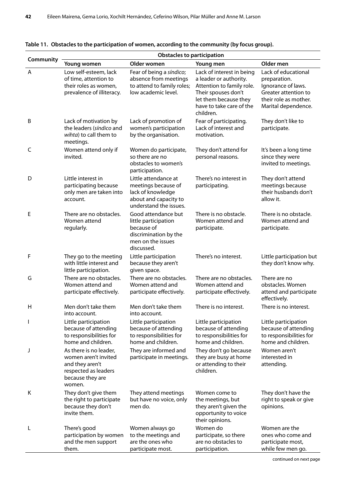| Community    | <b>Obstacles to participation</b>                                                                                       |                                                                                                                       |                                                                                                                                                                           |                                                                                                                                   |  |  |
|--------------|-------------------------------------------------------------------------------------------------------------------------|-----------------------------------------------------------------------------------------------------------------------|---------------------------------------------------------------------------------------------------------------------------------------------------------------------------|-----------------------------------------------------------------------------------------------------------------------------------|--|--|
|              | Young women                                                                                                             | Older women                                                                                                           | Young men                                                                                                                                                                 | Older men                                                                                                                         |  |  |
| A            | Low self-esteem, lack<br>of time, attention to<br>their roles as women,<br>prevalence of illiteracy.                    | Fear of being a síndico;<br>absence from meetings<br>to attend to family roles;<br>low academic level.                | Lack of interest in being<br>a leader or authority.<br>Attention to family role.<br>Their spouses don't<br>let them because they<br>have to take care of the<br>children. | Lack of educational<br>preparation.<br>Ignorance of laws.<br>Greater attention to<br>their role as mother.<br>Marital dependence. |  |  |
| Β            | Lack of motivation by<br>the leaders (síndico and<br>wihta) to call them to<br>meetings.                                | Lack of promotion of<br>women's participation<br>by the organisation.                                                 | Fear of participating.<br>Lack of interest and<br>motivation.                                                                                                             | They don't like to<br>participate.                                                                                                |  |  |
| $\mathsf C$  | Women attend only if<br>invited.                                                                                        | Women do participate,<br>so there are no<br>obstacles to women's<br>participation.                                    | They don't attend for<br>personal reasons.                                                                                                                                | It's been a long time<br>since they were<br>invited to meetings.                                                                  |  |  |
| D            | Little interest in<br>participating because<br>only men are taken into<br>account.                                      | Little attendance at<br>meetings because of<br>lack of knowledge<br>about and capacity to<br>understand the issues.   | There's no interest in<br>participating.                                                                                                                                  | They don't attend<br>meetings because<br>their husbands don't<br>allow it.                                                        |  |  |
| Е            | There are no obstacles.<br>Women attend<br>regularly.                                                                   | Good attendance but<br>little participation<br>because of<br>discrimination by the<br>men on the issues<br>discussed. | There is no obstacle.<br>Women attend and<br>participate.                                                                                                                 | There is no obstacle.<br>Women attend and<br>participate.                                                                         |  |  |
| F            | They go to the meeting<br>with little interest and<br>little participation.                                             | Little participation<br>because they aren't<br>given space.                                                           | There's no interest.                                                                                                                                                      | Little participation but<br>they don't know why.                                                                                  |  |  |
| G            | There are no obstacles.<br>Women attend and<br>participate effectively.                                                 | There are no obstacles.<br>Women attend and<br>participate effectively.                                               | There are no obstacles.<br>Women attend and<br>participate effectively.                                                                                                   | There are no<br>obstacles. Women<br>attend and participate<br>effectively.                                                        |  |  |
| $\mathsf{H}$ | Men don't take them<br>into account.                                                                                    | Men don't take them<br>into account.                                                                                  | There is no interest.                                                                                                                                                     | There is no interest.                                                                                                             |  |  |
|              | Little participation<br>because of attending<br>to responsibilities for<br>home and children.                           | Little participation<br>because of attending<br>to responsibilities for<br>home and children.                         | Little participation<br>because of attending<br>to responsibilities for<br>home and children.                                                                             | Little participation<br>because of attending<br>to responsibilities for<br>home and children.                                     |  |  |
| J            | As there is no leader,<br>women aren't invited<br>and they aren't<br>respected as leaders<br>because they are<br>women. | They are informed and<br>participate in meetings.                                                                     | They don't go because<br>they are busy at home<br>or attending to their<br>children.                                                                                      | Women aren't<br>interested in<br>attending.                                                                                       |  |  |
| K            | They don't give them<br>the right to participate<br>because they don't<br>invite them.                                  | They attend meetings<br>but have no voice, only<br>men do.                                                            | Women come to<br>the meetings, but<br>they aren't given the<br>opportunity to voice<br>their opinions.                                                                    | They don't have the<br>right to speak or give<br>opinions.                                                                        |  |  |
| L            | There's good<br>participation by women<br>and the men support<br>them.                                                  | Women always go<br>to the meetings and<br>are the ones who<br>participate most.                                       | Women do<br>participate, so there<br>are no obstacles to<br>participation.                                                                                                | Women are the<br>ones who come and<br>participate most,<br>while few men go.                                                      |  |  |

<span id="page-49-0"></span>

| Table 11. Obstacles to the participation of women, according to the community (by focus group). |  |  |
|-------------------------------------------------------------------------------------------------|--|--|
|-------------------------------------------------------------------------------------------------|--|--|

continued on next page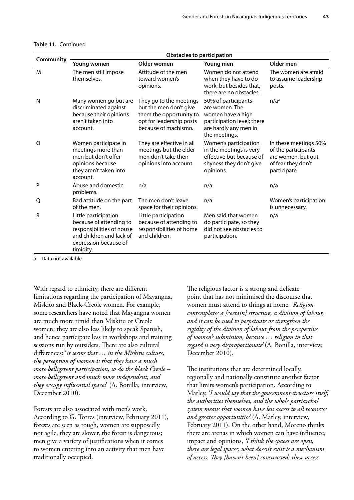|           | <b>Obstacles to participation</b>                                                                                                              |                                                                                                                                  |                                                                                                                                    |                                                                                                          |  |  |
|-----------|------------------------------------------------------------------------------------------------------------------------------------------------|----------------------------------------------------------------------------------------------------------------------------------|------------------------------------------------------------------------------------------------------------------------------------|----------------------------------------------------------------------------------------------------------|--|--|
| Community | Young women                                                                                                                                    | Older women                                                                                                                      | Young men                                                                                                                          | Older men                                                                                                |  |  |
| M         | The men still impose<br>themselves.                                                                                                            | Attitude of the men<br>toward women's<br>opinions.                                                                               | Women do not attend<br>when they have to do<br>work, but besides that,<br>there are no obstacles.                                  | The women are afraid<br>to assume leadership<br>posts.                                                   |  |  |
| N         | Many women go but are<br>discriminated against<br>because their opinions<br>aren't taken into<br>account.                                      | They go to the meetings<br>but the men don't give<br>them the opportunity to<br>opt for leadership posts<br>because of machismo. | 50% of participants<br>are women. The<br>women have a high<br>participation level; there<br>are hardly any men in<br>the meetings. | n/a <sup>a</sup>                                                                                         |  |  |
| $\circ$   | Women participate in<br>meetings more than<br>men but don't offer<br>opinions because<br>they aren't taken into<br>account.                    | They are effective in all<br>meetings but the elder<br>men don't take their<br>opinions into account.                            | Women's participation<br>in the meetings is very<br>effective but because of<br>shyness they don't give<br>opinions.               | In these meetings 50%<br>of the participants<br>are women, but out<br>of fear they don't<br>participate. |  |  |
| P         | Abuse and domestic<br>problems.                                                                                                                | n/a                                                                                                                              | n/a                                                                                                                                | n/a                                                                                                      |  |  |
| Q         | Bad attitude on the part<br>of the men.                                                                                                        | The men don't leave<br>space for their opinions.                                                                                 | n/a                                                                                                                                | Women's participation<br>is unnecessary.                                                                 |  |  |
| R         | Little participation<br>because of attending to<br>responsibilities of house<br>and children and lack of<br>expression because of<br>timidity. | Little participation<br>because of attending to<br>responsibilities of home<br>and children.                                     | Men said that women<br>do participate, so they<br>did not see obstacles to<br>participation.                                       | n/a                                                                                                      |  |  |

#### **Table 11.** Continued

a Data not available.

With regard to ethnicity, there are different limitations regarding the participation of Mayangna, Miskito and Black-Creole women. For example, some researchers have noted that Mayangna women are much more timid than Miskitu or Creole women; they are also less likely to speak Spanish, and hence participate less in workshops and training sessions run by outsiders. There are also cultural differences: '*it seems that … in the Miskitu culture, the perception of women is that they have a much more belligerent participation, so do the black Creole – more belligerent and much more independent, and they occupy influential spaces*' (A. Bonilla, interview, December 2010).

Forests are also associated with men's work. According to G. Torres (interview, February 2011), forests are seen as rough, women are supposedly not agile, they are slower, the forest is dangerous; men give a variety of justifications when it comes to women entering into an activity that men have traditionally occupied.

The religious factor is a strong and delicate point that has not minimised the discourse that women must attend to things at home. *'Religion contemplates a [certain] structure, a division of labour, and it can be used to perpetuate or strengthen the rigidity of the division of labour from the perspective of women's submission, because … religion in that regard is very disproportionate'* (A. Bonilla, interview, December 2010).

The institutions that are determined locally, regionally and nationally constitute another factor that limits women's participation. According to Marley, '*I would say that the government structure itself, the authorities themselves, and the whole patriarchal system means that women have less access to all resources and greater opportunities'* (A. Marley, interview, February 2011). On the other hand, Moreno thinks there are arenas in which women can have influence, impact and opinions, *'I think the spaces are open, there are legal spaces; what doesn't exist is a mechanism of access. They [haven't been] constructed; these access*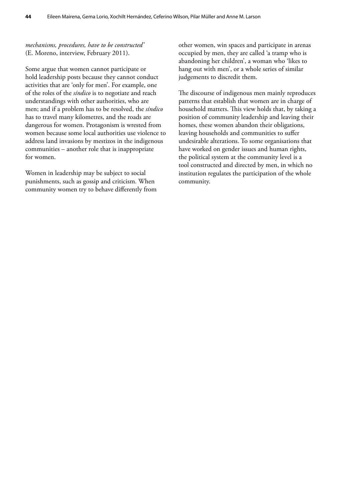#### *mechanisms, procedures, have to be constructed'*  (E. Moreno, interview, February 2011).

Some argue that women cannot participate or hold leadership posts because they cannot conduct activities that are 'only for men'. For example, one of the roles of the *síndico* is to negotiate and reach understandings with other authorities, who are men; and if a problem has to be resolved, the *síndico* has to travel many kilometres, and the roads are dangerous for women. Protagonism is wrested from women because some local authorities use violence to address land invasions by mestizos in the indigenous communities – another role that is inappropriate for women.

Women in leadership may be subject to social punishments, such as gossip and criticism. When community women try to behave differently from other women, win spaces and participate in arenas occupied by men, they are called 'a tramp who is abandoning her children', a woman who 'likes to hang out with men', or a whole series of similar judgements to discredit them.

The discourse of indigenous men mainly reproduces patterns that establish that women are in charge of household matters. This view holds that, by taking a position of community leadership and leaving their homes, these women abandon their obligations, leaving households and communities to suffer undesirable alterations. To some organisations that have worked on gender issues and human rights, the political system at the community level is a tool constructed and directed by men, in which no institution regulates the participation of the whole community.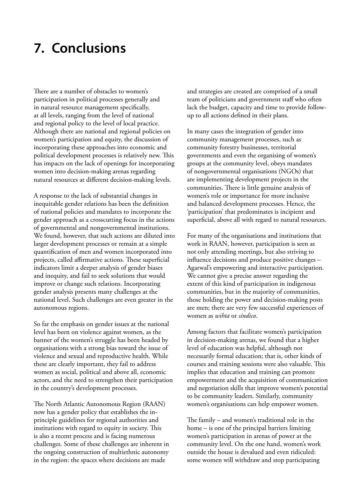# <span id="page-52-0"></span>**7. Conclusions**

There are a number of obstacles to women's participation in political processes generally and in natural resource management specifically, at all levels, ranging from the level of national and regional policy to the level of local practice. Although there are national and regional policies on women's participation and equity, the discussion of incorporating these approaches into economic and political development processes is relatively new. This has impacts on the lack of openings for incorporating women into decision-making arenas regarding natural resources at different decision-making levels.

A response to the lack of substantial changes in inequitable gender relations has been the definition of national policies and mandates to incorporate the gender approach as a crosscutting focus in the actions of governmental and nongovernmental institutions. We found, however, that such actions are diluted into larger development processes or remain at a simple quantification of men and women incorporated into projects, called affirmative actions. These superficial indicators limit a deeper analysis of gender biases and inequity, and fail to seek solutions that would improve or change such relations. Incorporating gender analysis presents many challenges at the national level. Such challenges are even greater in the autonomous regions.

So far the emphasis on gender issues at the national level has been on violence against women, as the banner of the women's struggle has been headed by organisations with a strong bias toward the issue of violence and sexual and reproductive health. While these are clearly important, they fail to address women as social, political and above all, economic actors, and the need to strengthen their participation in the country's development processes.

The North Atlantic Autonomous Region (RAAN) now has a gender policy that establishes the inprinciple guidelines for regional authorities and institutions with regard to equity in society. This is also a recent process and is facing numerous challenges. Some of these challenges are inherent in the ongoing construction of multiethnic autonomy in the region: the spaces where decisions are made

and strategies are created are comprised of a small team of politicians and government staff who often lack the budget, capacity and time to provide followup to all actions defined in their plans.

In many cases the integration of gender into community management processes, such as community forestry businesses, territorial governments and even the organising of women's groups at the community level, obeys mandates of nongovernmental organisations (NGOs) that are implementing development projects in the communities. There is little genuine analysis of women's role or importance for more inclusive and balanced development processes. Hence, the 'participation' that predominates is incipient and superficial, above all with regard to natural resources.

For many of the organisations and institutions that work in RAAN, however, participation is seen as not only attending meetings, but also striving to influence decisions and produce positive changes – Agarwal's empowering and interactive participation. We cannot give a precise answer regarding the extent of this kind of participation in indigenous communities, but in the majority of communities, those holding the power and decision-making posts are men; there are very few successful experiences of women as *wihta* or *síndico*.

Among factors that facilitate women's participation in decision-making arenas, we found that a higher level of education was helpful, although not necessarily formal education; that is, other kinds of courses and training sessions were also valuable. This implies that education and training can promote empowerment and the acquisition of communication and negotiation skills that improve women's potential to be community leaders. Similarly, community women's organisations can help empower women.

The family – and women's traditional role in the home – is one of the principal barriers limiting women's participation in arenas of power at the community level. On the one hand, women's work outside the house is devalued and even ridiculed: some women will withdraw and stop participating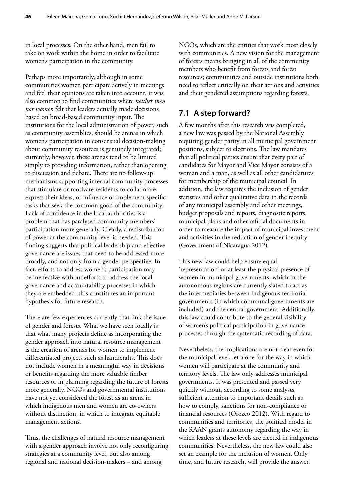<span id="page-53-0"></span>in local processes. On the other hand, men fail to take on work within the home in order to facilitate women's participation in the community.

Perhaps more importantly, although in some communities women participate actively in meetings and feel their opinions are taken into account, it was also common to find communities where *neither men nor women* felt that leaders actually made decisions based on broad-based community input. The institutions for the local administration of power, such as community assemblies, should be arenas in which women's participation in consensual decision-making about community resources is genuinely integrated; currently, however, these arenas tend to be limited simply to providing information, rather than opening to discussion and debate. There are no follow-up mechanisms supporting internal community processes that stimulate or motivate residents to collaborate, express their ideas, or influence or implement specific tasks that seek the common good of the community. Lack of confidence in the local authorities is a problem that has paralysed community members' participation more generally. Clearly, a redistribution of power at the community level is needed. This finding suggests that political leadership and effective governance are issues that need to be addressed more broadly, and not only from a gender perspective. In fact, efforts to address women's participation may be ineffective without efforts to address the local governance and accountability processes in which they are embedded: this constitutes an important hypothesis for future research.

There are few experiences currently that link the issue of gender and forests. What we have seen locally is that what many projects define as incorporating the gender approach into natural resource management is the creation of arenas for women to implement differentiated projects such as handicrafts. This does not include women in a meaningful way in decisions or benefits regarding the more valuable timber resources or in planning regarding the future of forests more generally. NGOs and governmental institutions have not yet considered the forest as an arena in which indigenous men and women are co-owners without distinction, in which to integrate equitable management actions.

Thus, the challenges of natural resource management with a gender approach involve not only reconfiguring strategies at a community level, but also among regional and national decision-makers – and among

NGOs, which are the entities that work most closely with communities. A new vision for the management of forests means bringing in all of the community members who benefit from forests and forest resources; communities and outside institutions both need to reflect critically on their actions and activities and their gendered assumptions regarding forests.

### **7.1 A step forward?**

A few months after this research was completed, a new law was passed by the National Assembly requiring gender parity in all municipal government positions, subject to elections. The law mandates that all political parties ensure that every pair of candidates for Mayor and Vice Mayor consists of a woman and a man, as well as all other candidatures for membership of the municipal council. In addition, the law requires the inclusion of gender statistics and other qualitative data in the records of any municipal assembly and other meetings, budget proposals and reports, diagnostic reports, municipal plans and other official documents in order to measure the impact of municipal investment and activities in the reduction of gender inequity (Government of Nicaragua 2012).

This new law could help ensure equal 'representation' or at least the physical presence of women in municipal governments, which in the autonomous regions are currently slated to act as the intermediaries between indigenous territorial governments (in which communal governments are included) and the central government. Additionally, this law could contribute to the general visibility of women's political participation in governance processes through the systematic recording of data.

Nevertheless, the implications are not clear even for the municipal level, let alone for the way in which women will participate at the community and territory levels. The law only addresses municipal governments. It was presented and passed very quickly without, according to some analysts, sufficient attention to important details such as how to comply, sanctions for non-compliance or financial resources (Orozco 2012). With regard to communities and territories, the political model in the RAAN grants autonomy regarding the way in which leaders at these levels are elected in indigenous communities. Nevertheless, the new law could also set an example for the inclusion of women. Only time, and future research, will provide the answer.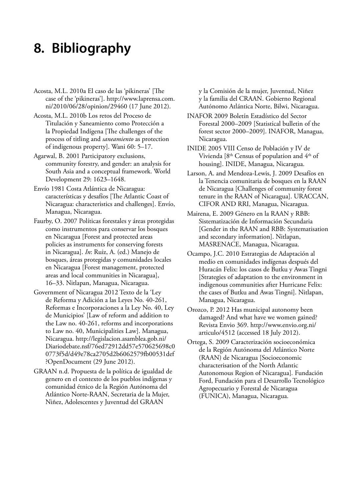# <span id="page-54-0"></span>**8. Bibliography**

- Acosta, M.L. 2010a El caso de las 'pikineras' [The case of the 'pikineras']. http://www.laprensa.com. ni/2010/06/28/opinion/29460 (17 June 2012).
- Acosta, M.L. 2010b Los retos del Proceso de Titulación y Saneamiento como Protección a la Propiedad Indígena [The challenges of the process of titling and *saneamiento* as protection of indigenous property]. Wani 60: 5–17.
- Agarwal, B. 2001 Participatory exclusions, community forestry, and gender: an analysis for South Asia and a conceptual framework. World Development 29: 1623–1648.
- Envío 1981 Costa Atlántica de Nicaragua: características y desafíos [The Atlantic Coast of Nicaragua: characteristics and challenges]. Envío, Managua, Nicaragua.
- Faurby, O. 2007 Políticas forestales y áreas protegidas como instrumentos para conservar los bosques en Nicaragua [Forest and protected areas policies as instruments for conserving forests in Nicaragua]. *In*: Ruiz, A. (ed.) Manejo de bosques, áreas protegidas y comunidades locales en Nicaragua [Forest management, protected areas and local communities in Nicaragua], 16–33. Nitlapan, Managua, Nicaragua.
- Government of Nicaragua 2012 Texto de la 'Ley de Reforma y Adición a las Leyes No. 40-261, Reformas e Incorporaciones a la Ley No. 40, Ley de Municipios' [Law of reform and addition to the Law no. 40-261, reforms and incorporations to Law no. 40, Municipalities Law]. Managua, Nicaragua. http://legislacion.asamblea.gob.ni/ Diariodebate.nsf/76ed72912dd57e570625698c0 0773f5d/d49e78ca2705d2b6062579fb00531def ?OpenDocument (29 June 2012).
- GRAAN n.d. Propuesta de la política de igualdad de genero en el contexto de los pueblos indígenas y comunidad étnico de la Región Autónoma del Atlántico Norte-RAAN, Secretaria de la Mujer, Niñez, Adolescentes y Juventud del GRAAN

y la Comisión de la mujer, Juventud, Niñez y la familia del CRAAN. Gobierno Regional Autónomo Atlántica Norte, Bilwi, Nicaragua.

- INAFOR 2009 Boletín Estadístico del Sector Forestal 2000–2009 [Statistical bulletin of the forest sector 2000–2009]. INAFOR, Managua, Nicaragua.
- INIDE 2005 VIII Censo de Población y IV de Vivienda [8th Census of population and 4th of housing]. INIDE, Managua, Nicaragua.
- Larson, A. and Mendoza-Lewis, J. 2009 Desafíos en la Tenencia comunitaria de bosques en la RAAN de Nicaragua [Challenges of community forest tenure in the RAAN of Nicaragua]. URACCAN, CIFOR AND RRI, Managua, Nicaragua.
- Mairena, E. 2009 Género en la RAAN y RBB: Sistematización de Información Secundaria [Gender in the RAAN and RBB: Systematisation and secondary information]. Nitlapan, MASRENACE, Managua, Nicaragua.
- Ocampo, J.C. 2010 Estrategias de Adaptación al medio en comunidades indígenas después del Huracán Felix: los casos de Butku y Awas Tingni [Strategies of adaptation to the environment in indigenous communities after Hurricane Felix: the cases of Butku and Awas Tingni]. Nitlapan, Managua, Nicaragua.
- Orozco, P. 2012 Has municipal autonomy been damaged? And what have we women gained? Revista Envio 369. http://www.envio.org.ni/ articulo/4512 (accessed 18 July 2012).
- Ortega, S. 2009 Caracterización socioeconómica de la Región Autónoma del Atlántico Norte (RAAN) de Nicaragua [Socioeconomic characterisation of the North Atlantic Autonomous Region of Nicaragua]*.* Fundación Ford, Fundación para el Desarrollo Tecnológico Agropecuario y Forestal de Nicaragua (FUNICA), Managua, Nicaragua.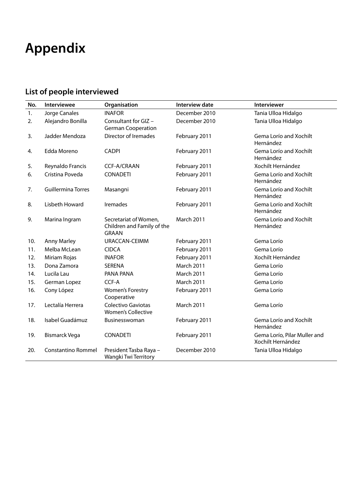# <span id="page-55-0"></span>**Appendix**

# **List of people interviewed**

| No. | Interviewee               | Organisation                                                        | <b>Interview date</b> | Interviewer                                       |
|-----|---------------------------|---------------------------------------------------------------------|-----------------------|---------------------------------------------------|
| 1.  | Jorge Canales             | <b>INAFOR</b>                                                       | December 2010         | Tania Ulloa Hidalgo                               |
| 2.  | Alejandro Bonilla         | Consultant for GIZ -<br><b>German Cooperation</b>                   | December 2010         | Tania Ulloa Hidalgo                               |
| 3.  | Jadder Mendoza            | <b>Director of Iremades</b>                                         | February 2011         | Gema Lorío and Xochilt<br>Hernández               |
| 4.  | Edda Moreno               | <b>CADPI</b>                                                        | February 2011         | Gema Lorío and Xochilt<br>Hernández               |
| 5.  | Reynaldo Francis          | <b>CCF-A/CRAAN</b>                                                  | February 2011         | Xochilt Hernández                                 |
| 6.  | Cristina Poveda           | <b>CONADETI</b>                                                     | February 2011         | Gema Lorío and Xochilt<br>Hernández               |
| 7.  | <b>Guillermina Torres</b> | Masangni                                                            | February 2011         | Gema Lorío and Xochilt<br>Hernández               |
| 8.  | Lisbeth Howard            | Iremades                                                            | February 2011         | Gema Lorío and Xochilt<br>Hernández               |
| 9.  | Marina Ingram             | Secretariat of Women,<br>Children and Family of the<br><b>GRAAN</b> | <b>March 2011</b>     | Gema Lorío and Xochilt<br>Hernández               |
| 10. | <b>Anny Marley</b>        | URACCAN-CEIMM                                                       | February 2011         | Gema Lorío                                        |
| 11. | Melba McLean              | <b>CIDCA</b>                                                        | February 2011         | Gema Lorío                                        |
| 12. | Miriam Rojas              | <b>INAFOR</b>                                                       | February 2011         | Xochilt Hernández                                 |
| 13. | Dona Zamora               | <b>SERENA</b>                                                       | <b>March 2011</b>     | Gema Lorío                                        |
| 14. | Lucila Lau                | PANA PANA                                                           | <b>March 2011</b>     | Gema Lorío                                        |
| 15. | German Lopez              | CCF-A                                                               | <b>March 2011</b>     | Gema Lorío                                        |
| 16. | Cony López                | <b>Women's Forestry</b><br>Cooperative                              | February 2011         | Gema Lorío                                        |
| 17. | Lectalía Herrera          | Colectivo Gaviotas<br><b>Women's Collective</b>                     | <b>March 2011</b>     | Gema Lorío                                        |
| 18. | Isabel Guadámuz           | <b>Businesswoman</b>                                                | February 2011         | Gema Lorío and Xochilt<br>Hernández               |
| 19. | <b>Bismarck Vega</b>      | <b>CONADETI</b>                                                     | February 2011         | Gema Lorío, Pilar Muller and<br>Xochilt Hernández |
| 20. | <b>Constantino Rommel</b> | President Tasba Raya -<br>Wangki Twi Territory                      | December 2010         | Tania Ulloa Hidalgo                               |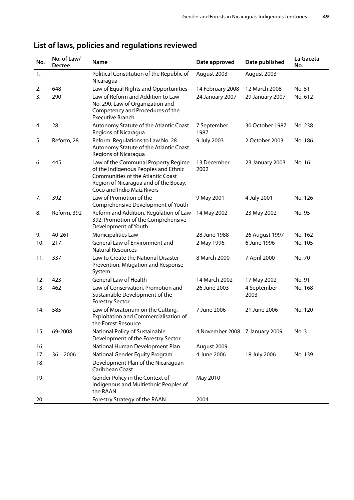| No. | No. of Law/<br><b>Decree</b> | <b>Name</b>                                                                                                                                                                             | Date approved                  | Date published      | La Gaceta<br>No. |
|-----|------------------------------|-----------------------------------------------------------------------------------------------------------------------------------------------------------------------------------------|--------------------------------|---------------------|------------------|
| 1.  |                              | Political Constitution of the Republic of<br>Nicaragua                                                                                                                                  | August 2003                    | August 2003         |                  |
| 2.  | 648                          | Law of Equal Rights and Opportunities                                                                                                                                                   | 14 February 2008               | 12 March 2008       | No. 51           |
| 3.  | 290                          | Law of Reform and Addition to Law<br>No. 290, Law of Organization and<br>Competency and Procedures of the<br><b>Executive Branch</b>                                                    | 24 January 2007                | 29 January 2007     | No. 612          |
| 4.  | 28                           | Autonomy Statute of the Atlantic Coast<br>Regions of Nicaragua                                                                                                                          | 7 September<br>1987            | 30 October 1987     | No. 238          |
| 5.  | Reform, 28                   | Reform: Regulations to Law No. 28<br>Autonomy Statute of the Atlantic Coast<br>Regions of Nicaragua                                                                                     | 9 July 2003                    | 2 October 2003      | No. 186          |
| 6.  | 445                          | Law of the Communal Property Regime<br>of the Indigenous Peoples and Ethnic<br>Communities of the Atlantic Coast<br>Region of Nicaragua and of the Bocay,<br>Coco and Indio Maíz Rivers | 13 December<br>2002            | 23 January 2003     | No. 16           |
| 7.  | 392                          | Law of Promotion of the<br>Comprehensive Development of Youth                                                                                                                           | 9 May 2001                     | 4 July 2001         | No. 126          |
| 8.  | Reform, 392                  | Reform and Addition, Regulation of Law<br>392, Promotion of the Comprehensive<br>Development of Youth                                                                                   | 14 May 2002                    | 23 May 2002         | No. 95           |
| 9.  | 40-261                       | <b>Municipalities Law</b>                                                                                                                                                               | 28 June 1988                   | 26 August 1997      | No. 162          |
| 10. | 217                          | General Law of Environment and<br><b>Natural Resources</b>                                                                                                                              | 2 May 1996                     | 6 June 1996         | No. 105          |
| 11. | 337                          | Law to Create the National Disaster<br>Prevention, Mitigation and Response<br>System                                                                                                    | 8 March 2000                   | 7 April 2000        | No. 70           |
| 12. | 423                          | <b>General Law of Health</b>                                                                                                                                                            | 14 March 2002                  | 17 May 2002         | No. 91           |
| 13. | 462                          | Law of Conservation, Promotion and<br>Sustainable Development of the<br><b>Forestry Sector</b>                                                                                          | 26 June 2003                   | 4 September<br>2003 | No. 168          |
| 14. | 585                          | Law of Moratorium on the Cutting,<br>Exploitation and Commercialisation of<br>the Forest Resource                                                                                       | 7 June 2006                    | 21 June 2006        | No. 120          |
| 15. | 69-2008                      | National Policy of Sustainable<br>Development of the Forestry Sector                                                                                                                    | 4 November 2008 7 January 2009 |                     | No. 3            |
| 16. |                              | National Human Development Plan                                                                                                                                                         | August 2009                    |                     |                  |
| 17. | $36 - 2006$                  | National Gender Equity Program                                                                                                                                                          | 4 June 2006                    | 18 July 2006        | No. 139          |
| 18. |                              | Development Plan of the Nicaraguan<br>Caribbean Coast                                                                                                                                   |                                |                     |                  |
| 19. |                              | Gender Policy in the Context of<br>Indigenous and Multiethnic Peoples of<br>the RAAN                                                                                                    | May 2010                       |                     |                  |
| 20. |                              | Forestry Strategy of the RAAN                                                                                                                                                           | 2004                           |                     |                  |

# **List of laws, policies and regulations reviewed**